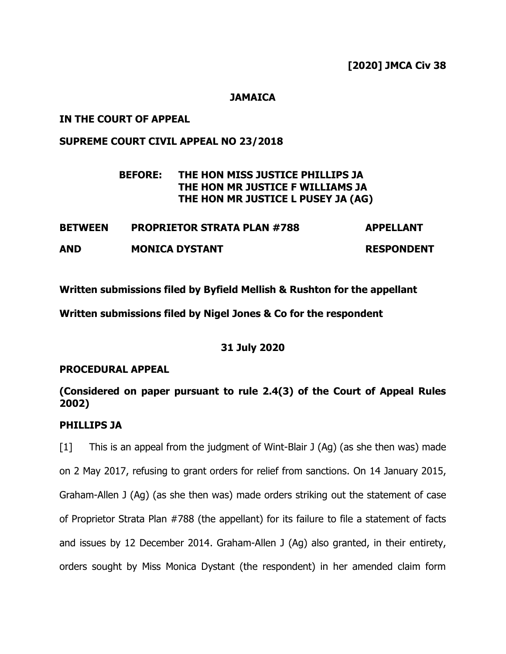## **JAMAICA**

# **IN THE COURT OF APPEAL**

# **SUPREME COURT CIVIL APPEAL NO 23/2018**

# **BEFORE: THE HON MISS JUSTICE PHILLIPS JA THE HON MR JUSTICE F WILLIAMS JA THE HON MR JUSTICE L PUSEY JA (AG)**

| <b>BETWEEN</b> | <b>PROPRIETOR STRATA PLAN #788</b> | <b>APPELLANT</b>  |
|----------------|------------------------------------|-------------------|
| <b>AND</b>     | <b>MONICA DYSTANT</b>              | <b>RESPONDENT</b> |

**Written submissions filed by Byfield Mellish & Rushton for the appellant**

**Written submissions filed by Nigel Jones & Co for the respondent**

# **31 July 2020**

# **PROCEDURAL APPEAL**

# **(Considered on paper pursuant to rule 2.4(3) of the Court of Appeal Rules 2002)**

# **PHILLIPS JA**

[1] This is an appeal from the judgment of Wint-Blair J (Ag) (as she then was) made on 2 May 2017, refusing to grant orders for relief from sanctions. On 14 January 2015, Graham-Allen J (Ag) (as she then was) made orders striking out the statement of case of Proprietor Strata Plan #788 (the appellant) for its failure to file a statement of facts and issues by 12 December 2014. Graham-Allen J (Ag) also granted, in their entirety, orders sought by Miss Monica Dystant (the respondent) in her amended claim form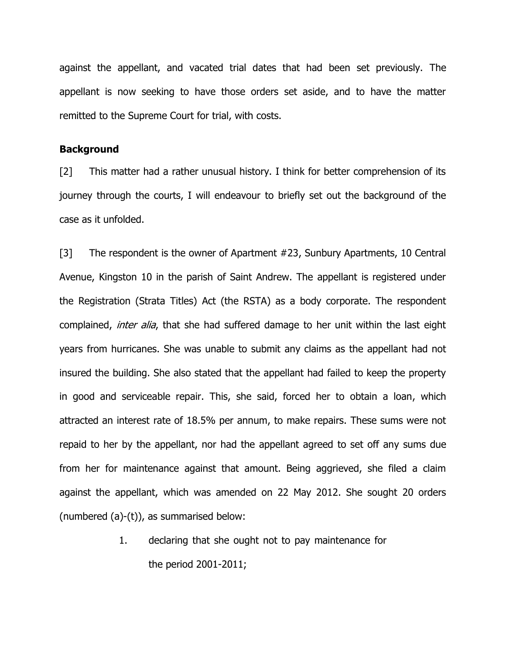against the appellant, and vacated trial dates that had been set previously. The appellant is now seeking to have those orders set aside, and to have the matter remitted to the Supreme Court for trial, with costs.

### **Background**

[2] This matter had a rather unusual history. I think for better comprehension of its journey through the courts, I will endeavour to briefly set out the background of the case as it unfolded.

[3] The respondent is the owner of Apartment #23, Sunbury Apartments, 10 Central Avenue, Kingston 10 in the parish of Saint Andrew. The appellant is registered under the Registration (Strata Titles) Act (the RSTA) as a body corporate. The respondent complained, *inter alia*, that she had suffered damage to her unit within the last eight years from hurricanes. She was unable to submit any claims as the appellant had not insured the building. She also stated that the appellant had failed to keep the property in good and serviceable repair. This, she said, forced her to obtain a loan, which attracted an interest rate of 18.5% per annum, to make repairs. These sums were not repaid to her by the appellant, nor had the appellant agreed to set off any sums due from her for maintenance against that amount. Being aggrieved, she filed a claim against the appellant, which was amended on 22 May 2012. She sought 20 orders (numbered (a)-(t)), as summarised below:

> 1. declaring that she ought not to pay maintenance for the period 2001-2011;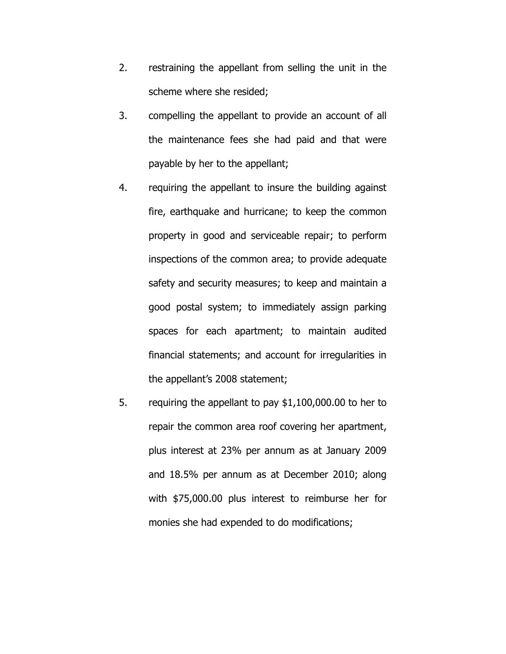- 2. restraining the appellant from selling the unit in the scheme where she resided;
- 3. compelling the appellant to provide an account of all the maintenance fees she had paid and that were payable by her to the appellant;
- 4. requiring the appellant to insure the building against fire, earthquake and hurricane; to keep the common property in good and serviceable repair; to perform inspections of the common area; to provide adequate safety and security measures; to keep and maintain a good postal system; to immediately assign parking spaces for each apartment; to maintain audited financial statements; and account for irregularities in the appellant's 2008 statement;
- 5. requiring the appellant to pay \$1,100,000.00 to her to repair the common area roof covering her apartment, plus interest at 23% per annum as at January 2009 and 18.5% per annum as at December 2010; along with \$75,000.00 plus interest to reimburse her for monies she had expended to do modifications;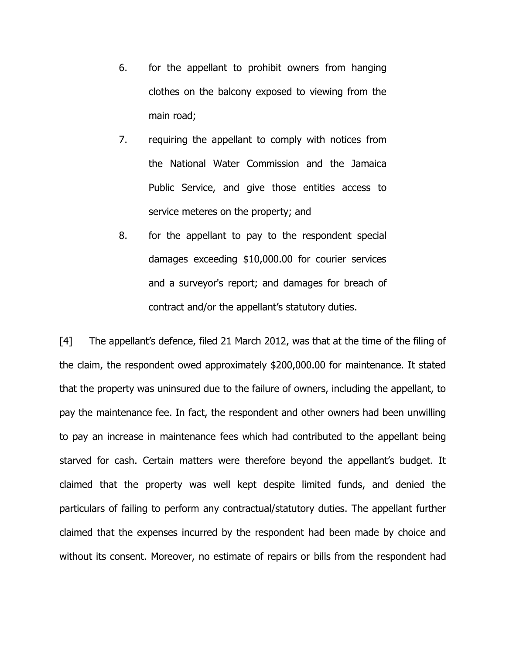- 6. for the appellant to prohibit owners from hanging clothes on the balcony exposed to viewing from the main road;
- 7. requiring the appellant to comply with notices from the National Water Commission and the Jamaica Public Service, and give those entities access to service meteres on the property; and
- 8. for the appellant to pay to the respondent special damages exceeding \$10,000.00 for courier services and a surveyor's report; and damages for breach of contract and/or the appellant's statutory duties.

[4] The appellant's defence, filed 21 March 2012, was that at the time of the filing of the claim, the respondent owed approximately \$200,000.00 for maintenance. It stated that the property was uninsured due to the failure of owners, including the appellant, to pay the maintenance fee. In fact, the respondent and other owners had been unwilling to pay an increase in maintenance fees which had contributed to the appellant being starved for cash. Certain matters were therefore beyond the appellant's budget. It claimed that the property was well kept despite limited funds, and denied the particulars of failing to perform any contractual/statutory duties. The appellant further claimed that the expenses incurred by the respondent had been made by choice and without its consent. Moreover, no estimate of repairs or bills from the respondent had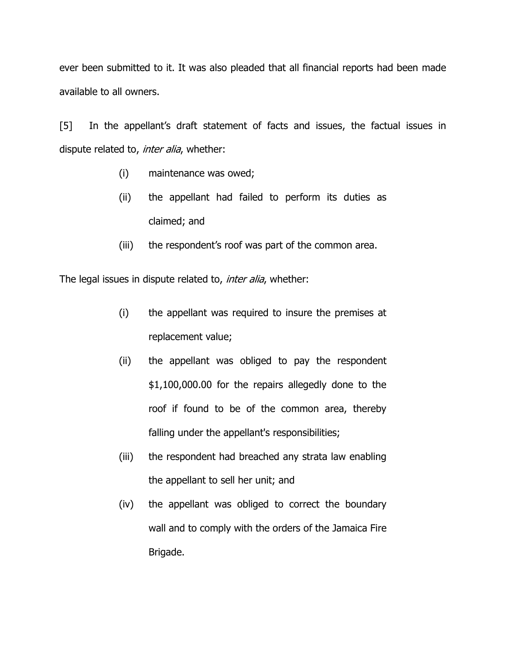ever been submitted to it. It was also pleaded that all financial reports had been made available to all owners.

[5] In the appellant's draft statement of facts and issues, the factual issues in dispute related to, *inter alia*, whether:

- (i) maintenance was owed;
- (ii) the appellant had failed to perform its duties as claimed; and
- (iii) the respondent's roof was part of the common area.

The legal issues in dispute related to, inter alia, whether:

- (i) the appellant was required to insure the premises at replacement value;
- (ii) the appellant was obliged to pay the respondent \$1,100,000.00 for the repairs allegedly done to the roof if found to be of the common area, thereby falling under the appellant's responsibilities;
- (iii) the respondent had breached any strata law enabling the appellant to sell her unit; and
- (iv) the appellant was obliged to correct the boundary wall and to comply with the orders of the Jamaica Fire Brigade.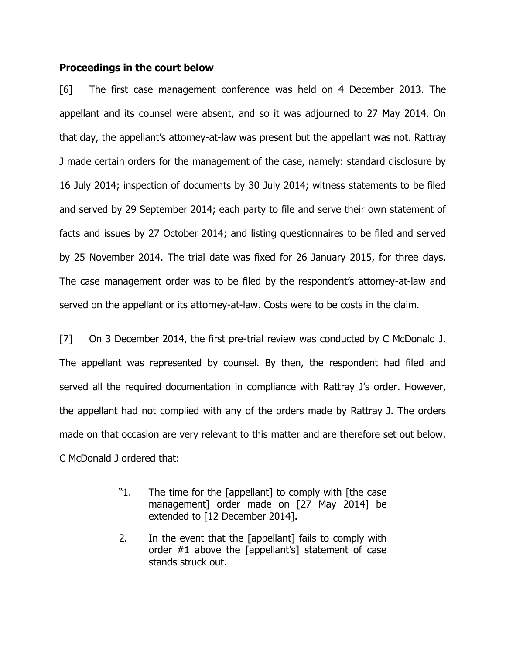### **Proceedings in the court below**

[6] The first case management conference was held on 4 December 2013. The appellant and its counsel were absent, and so it was adjourned to 27 May 2014. On that day, the appellant's attorney-at-law was present but the appellant was not. Rattray J made certain orders for the management of the case, namely: standard disclosure by 16 July 2014; inspection of documents by 30 July 2014; witness statements to be filed and served by 29 September 2014; each party to file and serve their own statement of facts and issues by 27 October 2014; and listing questionnaires to be filed and served by 25 November 2014. The trial date was fixed for 26 January 2015, for three days. The case management order was to be filed by the respondent's attorney-at-law and served on the appellant or its attorney-at-law. Costs were to be costs in the claim.

[7] On 3 December 2014, the first pre-trial review was conducted by C McDonald J. The appellant was represented by counsel. By then, the respondent had filed and served all the required documentation in compliance with Rattray J's order. However, the appellant had not complied with any of the orders made by Rattray J. The orders made on that occasion are very relevant to this matter and are therefore set out below. C McDonald J ordered that:

- "1. The time for the [appellant] to comply with [the case management] order made on [27 May 2014] be extended to [12 December 2014].
- 2. In the event that the [appellant] fails to comply with order #1 above the [appellant's] statement of case stands struck out.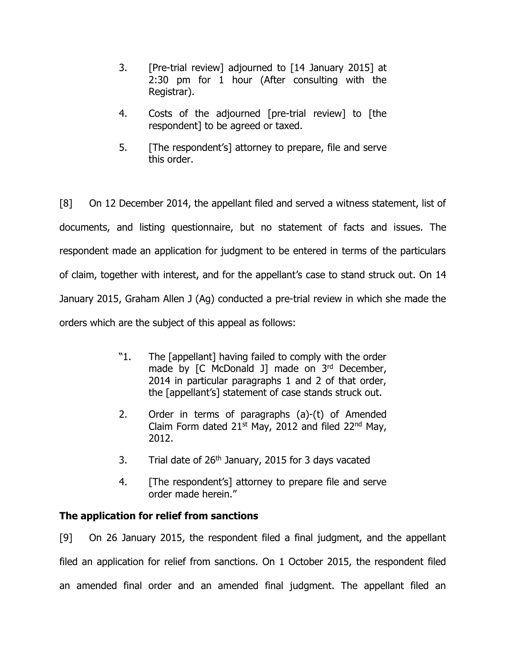- 3. [Pre-trial review] adjourned to [14 January 2015] at 2:30 pm for 1 hour (After consulting with the Registrar).
- 4. Costs of the adjourned [pre-trial review] to [the respondent] to be agreed or taxed.
- 5. [The respondent's] attorney to prepare, file and serve this order.

[8] On 12 December 2014, the appellant filed and served a witness statement, list of documents, and listing questionnaire, but no statement of facts and issues. The respondent made an application for judgment to be entered in terms of the particulars of claim, together with interest, and for the appellant's case to stand struck out. On 14 January 2015, Graham Allen J (Ag) conducted a pre-trial review in which she made the orders which are the subject of this appeal as follows:

- "1. The [appellant] having failed to comply with the order made by [C McDonald J] made on 3rd December, 2014 in particular paragraphs 1 and 2 of that order, the [appellant's] statement of case stands struck out.
- 2. Order in terms of paragraphs (a)-(t) of Amended Claim Form dated  $21^{st}$  May, 2012 and filed  $22^{nd}$  May, 2012.
- 3. Trial date of  $26<sup>th</sup>$  January, 2015 for 3 days vacated
- 4. [The respondent's] attorney to prepare file and serve order made herein."

# **The application for relief from sanctions**

[9] On 26 January 2015, the respondent filed a final judgment, and the appellant filed an application for relief from sanctions. On 1 October 2015, the respondent filed an amended final order and an amended final judgment. The appellant filed an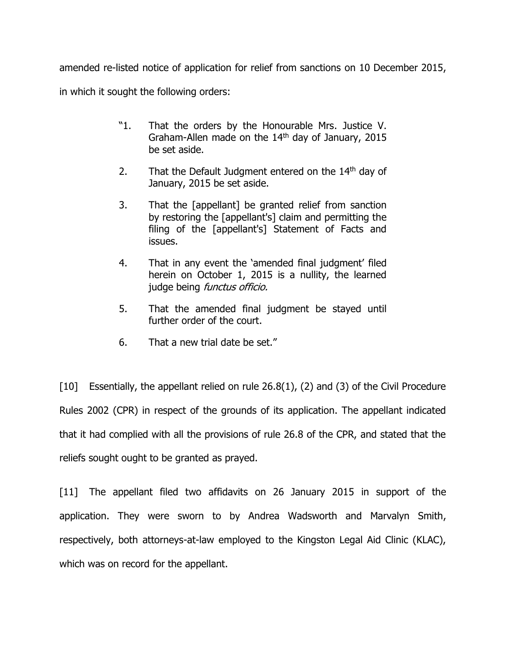amended re-listed notice of application for relief from sanctions on 10 December 2015, in which it sought the following orders:

- "1. That the orders by the Honourable Mrs. Justice V. Graham-Allen made on the  $14<sup>th</sup>$  day of January, 2015 be set aside.
- 2. That the Default Judgment entered on the  $14<sup>th</sup>$  day of January, 2015 be set aside.
- 3. That the [appellant] be granted relief from sanction by restoring the [appellant's] claim and permitting the filing of the [appellant's] Statement of Facts and issues.
- 4. That in any event the 'amended final judgment' filed herein on October 1, 2015 is a nullity, the learned judge being *functus officio.*
- 5. That the amended final judgment be stayed until further order of the court.
- 6. That a new trial date be set."

[10] Essentially, the appellant relied on rule 26.8(1), (2) and (3) of the Civil Procedure Rules 2002 (CPR) in respect of the grounds of its application. The appellant indicated that it had complied with all the provisions of rule 26.8 of the CPR, and stated that the reliefs sought ought to be granted as prayed.

[11] The appellant filed two affidavits on 26 January 2015 in support of the application. They were sworn to by Andrea Wadsworth and Marvalyn Smith, respectively, both attorneys-at-law employed to the Kingston Legal Aid Clinic (KLAC), which was on record for the appellant.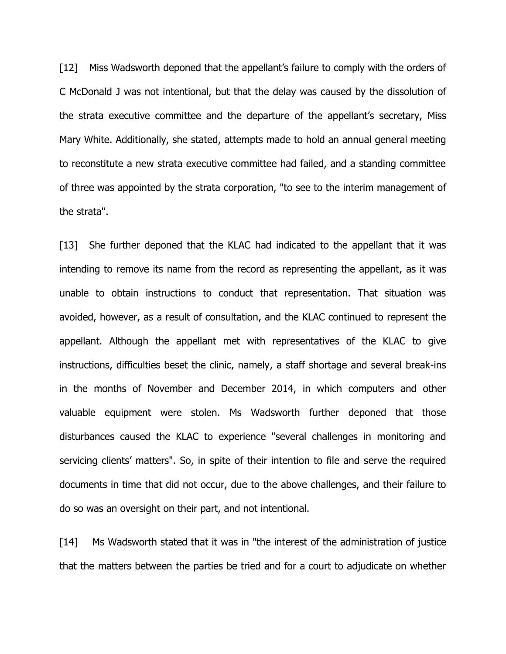[12] Miss Wadsworth deponed that the appellant's failure to comply with the orders of C McDonald J was not intentional, but that the delay was caused by the dissolution of the strata executive committee and the departure of the appellant's secretary, Miss Mary White. Additionally, she stated, attempts made to hold an annual general meeting to reconstitute a new strata executive committee had failed, and a standing committee of three was appointed by the strata corporation, "to see to the interim management of the strata".

[13] She further deponed that the KLAC had indicated to the appellant that it was intending to remove its name from the record as representing the appellant, as it was unable to obtain instructions to conduct that representation. That situation was avoided, however, as a result of consultation, and the KLAC continued to represent the appellant. Although the appellant met with representatives of the KLAC to give instructions, difficulties beset the clinic, namely, a staff shortage and several break-ins in the months of November and December 2014, in which computers and other valuable equipment were stolen. Ms Wadsworth further deponed that those disturbances caused the KLAC to experience "several challenges in monitoring and servicing clients' matters". So, in spite of their intention to file and serve the required documents in time that did not occur, due to the above challenges, and their failure to do so was an oversight on their part, and not intentional.

[14] Ms Wadsworth stated that it was in "the interest of the administration of justice that the matters between the parties be tried and for a court to adjudicate on whether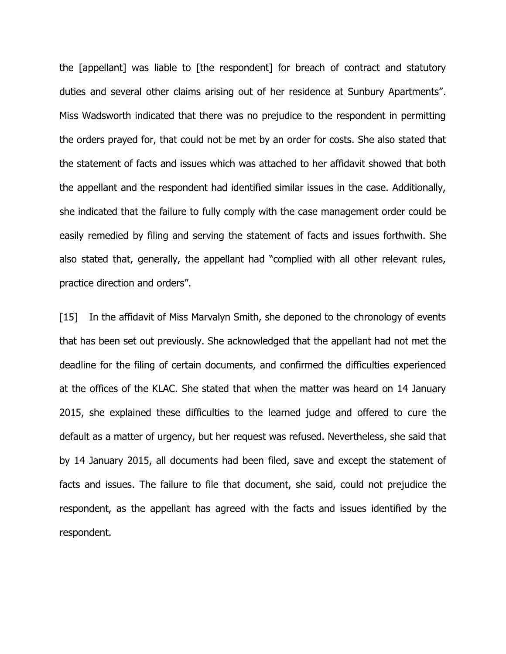the [appellant] was liable to [the respondent] for breach of contract and statutory duties and several other claims arising out of her residence at Sunbury Apartments". Miss Wadsworth indicated that there was no prejudice to the respondent in permitting the orders prayed for, that could not be met by an order for costs. She also stated that the statement of facts and issues which was attached to her affidavit showed that both the appellant and the respondent had identified similar issues in the case. Additionally, she indicated that the failure to fully comply with the case management order could be easily remedied by filing and serving the statement of facts and issues forthwith. She also stated that, generally, the appellant had "complied with all other relevant rules, practice direction and orders".

[15] In the affidavit of Miss Marvalyn Smith, she deponed to the chronology of events that has been set out previously. She acknowledged that the appellant had not met the deadline for the filing of certain documents, and confirmed the difficulties experienced at the offices of the KLAC. She stated that when the matter was heard on 14 January 2015, she explained these difficulties to the learned judge and offered to cure the default as a matter of urgency, but her request was refused. Nevertheless, she said that by 14 January 2015, all documents had been filed, save and except the statement of facts and issues. The failure to file that document, she said, could not prejudice the respondent, as the appellant has agreed with the facts and issues identified by the respondent.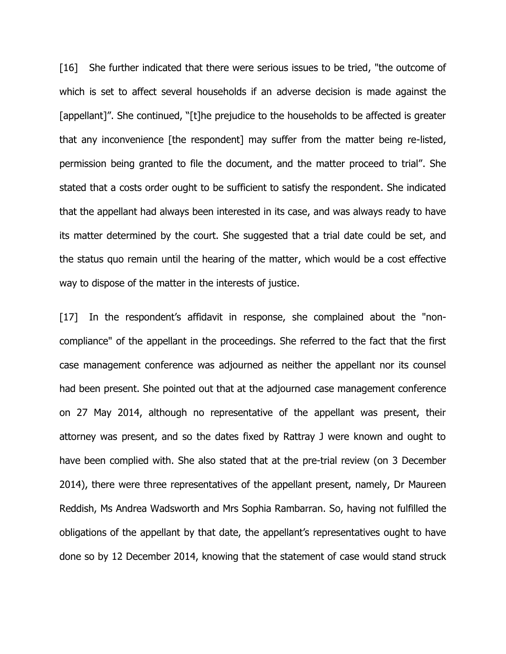[16] She further indicated that there were serious issues to be tried, "the outcome of which is set to affect several households if an adverse decision is made against the [appellant]". She continued, "[t]he prejudice to the households to be affected is greater that any inconvenience [the respondent] may suffer from the matter being re-listed, permission being granted to file the document, and the matter proceed to trial". She stated that a costs order ought to be sufficient to satisfy the respondent. She indicated that the appellant had always been interested in its case, and was always ready to have its matter determined by the court. She suggested that a trial date could be set, and the status quo remain until the hearing of the matter, which would be a cost effective way to dispose of the matter in the interests of justice.

[17] In the respondent's affidavit in response, she complained about the "noncompliance" of the appellant in the proceedings. She referred to the fact that the first case management conference was adjourned as neither the appellant nor its counsel had been present. She pointed out that at the adjourned case management conference on 27 May 2014, although no representative of the appellant was present, their attorney was present, and so the dates fixed by Rattray J were known and ought to have been complied with. She also stated that at the pre-trial review (on 3 December 2014), there were three representatives of the appellant present, namely, Dr Maureen Reddish, Ms Andrea Wadsworth and Mrs Sophia Rambarran. So, having not fulfilled the obligations of the appellant by that date, the appellant's representatives ought to have done so by 12 December 2014, knowing that the statement of case would stand struck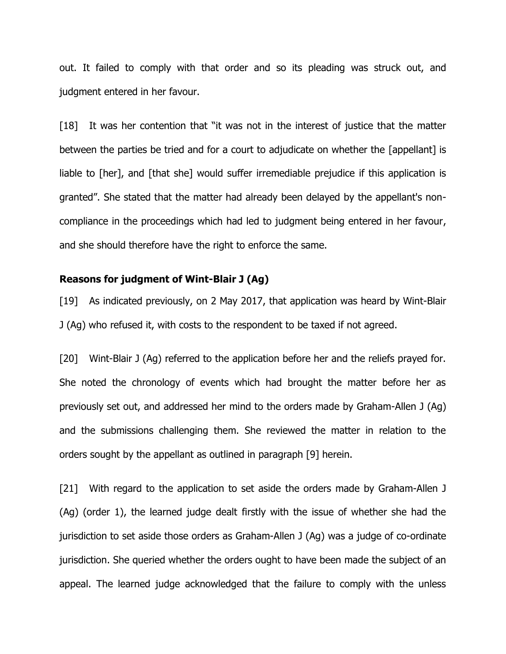out. It failed to comply with that order and so its pleading was struck out, and judgment entered in her favour.

[18] It was her contention that "it was not in the interest of justice that the matter between the parties be tried and for a court to adjudicate on whether the [appellant] is liable to [her], and [that she] would suffer irremediable prejudice if this application is granted". She stated that the matter had already been delayed by the appellant's noncompliance in the proceedings which had led to judgment being entered in her favour, and she should therefore have the right to enforce the same.

### **Reasons for judgment of Wint-Blair J (Ag)**

[19] As indicated previously, on 2 May 2017, that application was heard by Wint-Blair J (Ag) who refused it, with costs to the respondent to be taxed if not agreed.

[20] Wint-Blair J (Ag) referred to the application before her and the reliefs prayed for. She noted the chronology of events which had brought the matter before her as previously set out, and addressed her mind to the orders made by Graham-Allen J (Ag) and the submissions challenging them. She reviewed the matter in relation to the orders sought by the appellant as outlined in paragraph [9] herein.

[21] With regard to the application to set aside the orders made by Graham-Allen J (Ag) (order 1), the learned judge dealt firstly with the issue of whether she had the jurisdiction to set aside those orders as Graham-Allen J (Ag) was a judge of co-ordinate jurisdiction. She queried whether the orders ought to have been made the subject of an appeal. The learned judge acknowledged that the failure to comply with the unless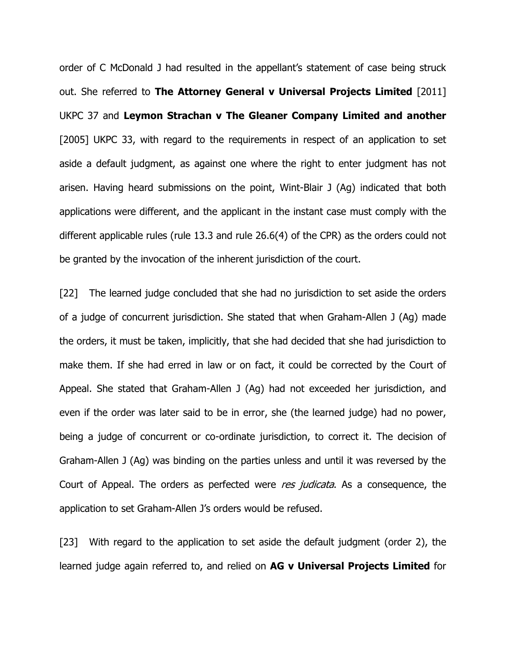order of C McDonald J had resulted in the appellant's statement of case being struck out. She referred to **The Attorney General v Universal Projects Limited** [2011] UKPC 37 and **Leymon Strachan v The Gleaner Company Limited and another**  [2005] UKPC 33, with regard to the requirements in respect of an application to set aside a default judgment, as against one where the right to enter judgment has not arisen. Having heard submissions on the point, Wint-Blair J (Ag) indicated that both applications were different, and the applicant in the instant case must comply with the different applicable rules (rule 13.3 and rule 26.6(4) of the CPR) as the orders could not be granted by the invocation of the inherent jurisdiction of the court.

[22] The learned judge concluded that she had no jurisdiction to set aside the orders of a judge of concurrent jurisdiction. She stated that when Graham-Allen J (Ag) made the orders, it must be taken, implicitly, that she had decided that she had jurisdiction to make them. If she had erred in law or on fact, it could be corrected by the Court of Appeal. She stated that Graham-Allen J (Ag) had not exceeded her jurisdiction, and even if the order was later said to be in error, she (the learned judge) had no power, being a judge of concurrent or co-ordinate jurisdiction, to correct it. The decision of Graham-Allen J (Ag) was binding on the parties unless and until it was reversed by the Court of Appeal. The orders as perfected were res judicata. As a consequence, the application to set Graham-Allen J's orders would be refused.

[23] With regard to the application to set aside the default judgment (order 2), the learned judge again referred to, and relied on **AG v Universal Projects Limited** for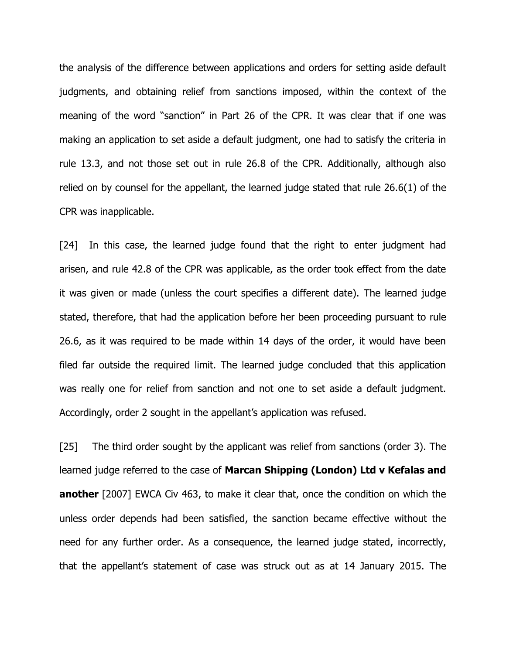the analysis of the difference between applications and orders for setting aside default judgments, and obtaining relief from sanctions imposed, within the context of the meaning of the word "sanction" in Part 26 of the CPR. It was clear that if one was making an application to set aside a default judgment, one had to satisfy the criteria in rule 13.3, and not those set out in rule 26.8 of the CPR. Additionally, although also relied on by counsel for the appellant, the learned judge stated that rule 26.6(1) of the CPR was inapplicable.

[24] In this case, the learned judge found that the right to enter judgment had arisen, and rule 42.8 of the CPR was applicable, as the order took effect from the date it was given or made (unless the court specifies a different date). The learned judge stated, therefore, that had the application before her been proceeding pursuant to rule 26.6, as it was required to be made within 14 days of the order, it would have been filed far outside the required limit. The learned judge concluded that this application was really one for relief from sanction and not one to set aside a default judgment. Accordingly, order 2 sought in the appellant's application was refused.

[25] The third order sought by the applicant was relief from sanctions (order 3). The learned judge referred to the case of **Marcan Shipping (London) Ltd v Kefalas and another** [2007] EWCA Civ 463, to make it clear that, once the condition on which the unless order depends had been satisfied, the sanction became effective without the need for any further order. As a consequence, the learned judge stated, incorrectly, that the appellant's statement of case was struck out as at 14 January 2015. The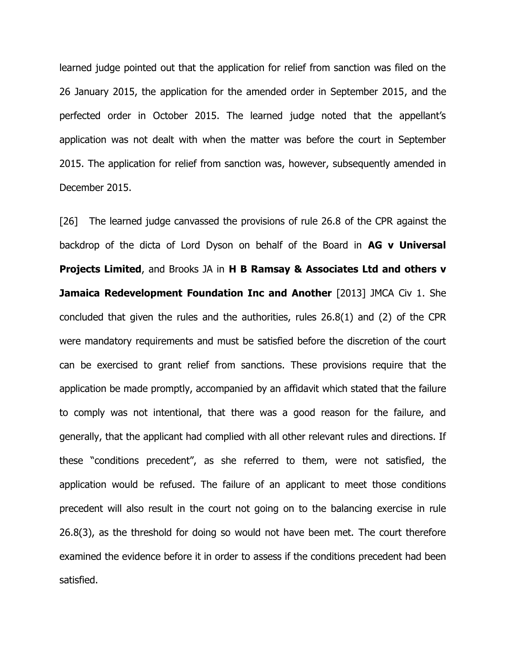learned judge pointed out that the application for relief from sanction was filed on the 26 January 2015, the application for the amended order in September 2015, and the perfected order in October 2015. The learned judge noted that the appellant's application was not dealt with when the matter was before the court in September 2015. The application for relief from sanction was, however, subsequently amended in December 2015.

[26] The learned judge canvassed the provisions of rule 26.8 of the CPR against the backdrop of the dicta of Lord Dyson on behalf of the Board in **AG v Universal Projects Limited**, and Brooks JA in **H B Ramsay & Associates Ltd and others v Jamaica Redevelopment Foundation Inc and Another** [2013] JMCA Civ 1. She concluded that given the rules and the authorities, rules 26.8(1) and (2) of the CPR were mandatory requirements and must be satisfied before the discretion of the court can be exercised to grant relief from sanctions. These provisions require that the application be made promptly, accompanied by an affidavit which stated that the failure to comply was not intentional, that there was a good reason for the failure, and generally, that the applicant had complied with all other relevant rules and directions. If these "conditions precedent", as she referred to them, were not satisfied, the application would be refused. The failure of an applicant to meet those conditions precedent will also result in the court not going on to the balancing exercise in rule 26.8(3), as the threshold for doing so would not have been met. The court therefore examined the evidence before it in order to assess if the conditions precedent had been satisfied.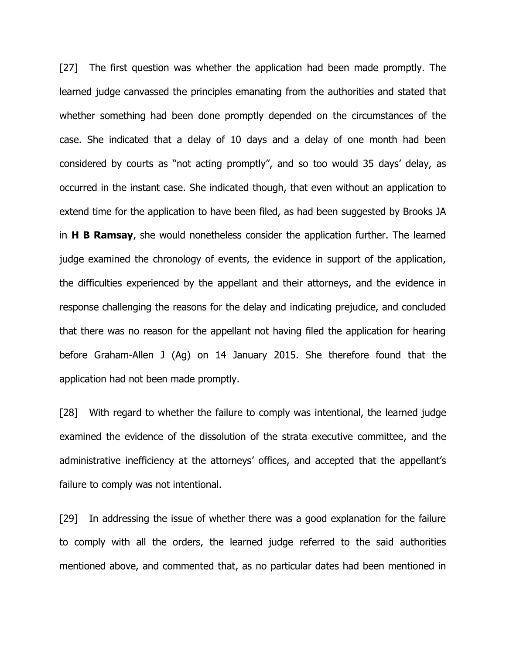[27] The first question was whether the application had been made promptly. The learned judge canvassed the principles emanating from the authorities and stated that whether something had been done promptly depended on the circumstances of the case. She indicated that a delay of 10 days and a delay of one month had been considered by courts as "not acting promptly", and so too would 35 days' delay, as occurred in the instant case. She indicated though, that even without an application to extend time for the application to have been filed, as had been suggested by Brooks JA in **H B Ramsay**, she would nonetheless consider the application further. The learned judge examined the chronology of events, the evidence in support of the application, the difficulties experienced by the appellant and their attorneys, and the evidence in response challenging the reasons for the delay and indicating prejudice, and concluded that there was no reason for the appellant not having filed the application for hearing before Graham-Allen J (Ag) on 14 January 2015. She therefore found that the application had not been made promptly.

[28] With regard to whether the failure to comply was intentional, the learned judge examined the evidence of the dissolution of the strata executive committee, and the administrative inefficiency at the attorneys' offices, and accepted that the appellant's failure to comply was not intentional.

[29] In addressing the issue of whether there was a good explanation for the failure to comply with all the orders, the learned judge referred to the said authorities mentioned above, and commented that, as no particular dates had been mentioned in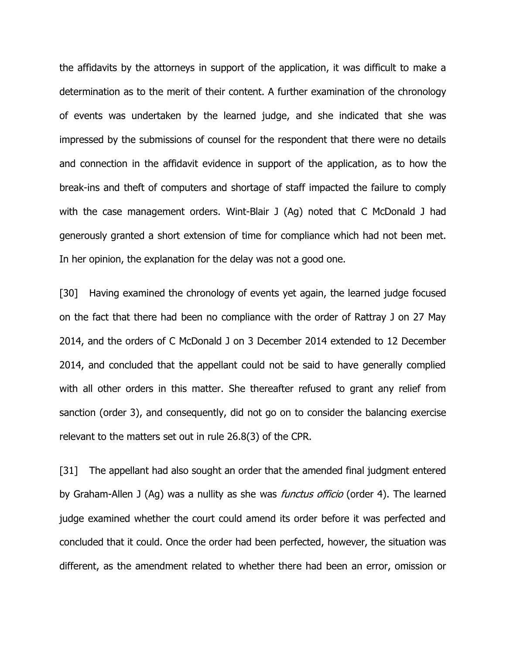the affidavits by the attorneys in support of the application, it was difficult to make a determination as to the merit of their content. A further examination of the chronology of events was undertaken by the learned judge, and she indicated that she was impressed by the submissions of counsel for the respondent that there were no details and connection in the affidavit evidence in support of the application, as to how the break-ins and theft of computers and shortage of staff impacted the failure to comply with the case management orders. Wint-Blair J (Ag) noted that C McDonald J had generously granted a short extension of time for compliance which had not been met. In her opinion, the explanation for the delay was not a good one.

[30] Having examined the chronology of events yet again, the learned judge focused on the fact that there had been no compliance with the order of Rattray J on 27 May 2014, and the orders of C McDonald J on 3 December 2014 extended to 12 December 2014, and concluded that the appellant could not be said to have generally complied with all other orders in this matter. She thereafter refused to grant any relief from sanction (order 3), and consequently, did not go on to consider the balancing exercise relevant to the matters set out in rule 26.8(3) of the CPR.

[31] The appellant had also sought an order that the amended final judgment entered by Graham-Allen J (Ag) was a nullity as she was *functus officio* (order 4). The learned judge examined whether the court could amend its order before it was perfected and concluded that it could. Once the order had been perfected, however, the situation was different, as the amendment related to whether there had been an error, omission or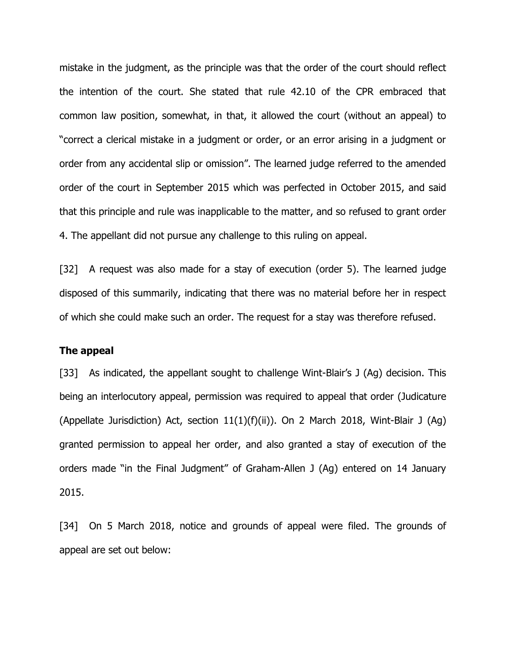mistake in the judgment, as the principle was that the order of the court should reflect the intention of the court. She stated that rule 42.10 of the CPR embraced that common law position, somewhat, in that, it allowed the court (without an appeal) to "correct a clerical mistake in a judgment or order, or an error arising in a judgment or order from any accidental slip or omission". The learned judge referred to the amended order of the court in September 2015 which was perfected in October 2015, and said that this principle and rule was inapplicable to the matter, and so refused to grant order 4. The appellant did not pursue any challenge to this ruling on appeal.

[32] A request was also made for a stay of execution (order 5). The learned judge disposed of this summarily, indicating that there was no material before her in respect of which she could make such an order. The request for a stay was therefore refused.

### **The appeal**

[33] As indicated, the appellant sought to challenge Wint-Blair's J (Ag) decision. This being an interlocutory appeal, permission was required to appeal that order (Judicature (Appellate Jurisdiction) Act, section  $11(1)(f)(ii)$ ). On 2 March 2018, Wint-Blair J (Aq) granted permission to appeal her order, and also granted a stay of execution of the orders made "in the Final Judgment" of Graham-Allen J (Ag) entered on 14 January 2015.

[34] On 5 March 2018, notice and grounds of appeal were filed. The grounds of appeal are set out below: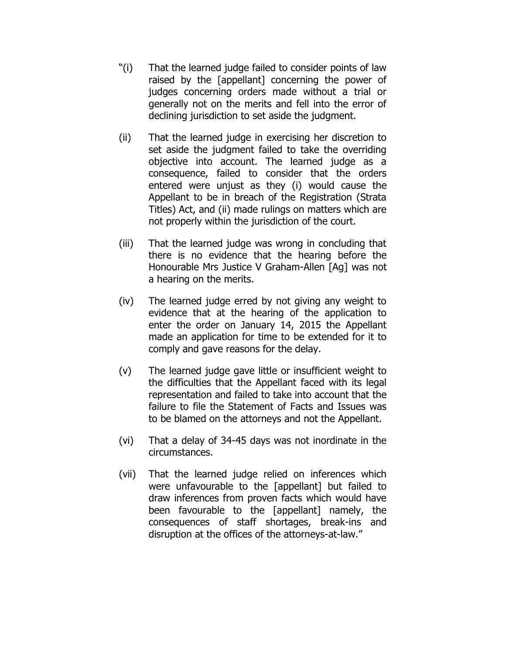- "(i) That the learned judge failed to consider points of law raised by the [appellant] concerning the power of judges concerning orders made without a trial or generally not on the merits and fell into the error of declining jurisdiction to set aside the judgment.
- (ii) That the learned judge in exercising her discretion to set aside the judgment failed to take the overriding objective into account. The learned judge as a consequence, failed to consider that the orders entered were unjust as they (i) would cause the Appellant to be in breach of the Registration (Strata Titles) Act, and (ii) made rulings on matters which are not properly within the jurisdiction of the court.
- (iii) That the learned judge was wrong in concluding that there is no evidence that the hearing before the Honourable Mrs Justice V Graham-Allen [Ag] was not a hearing on the merits.
- (iv) The learned judge erred by not giving any weight to evidence that at the hearing of the application to enter the order on January 14, 2015 the Appellant made an application for time to be extended for it to comply and gave reasons for the delay.
- (v) The learned judge gave little or insufficient weight to the difficulties that the Appellant faced with its legal representation and failed to take into account that the failure to file the Statement of Facts and Issues was to be blamed on the attorneys and not the Appellant.
- (vi) That a delay of 34-45 days was not inordinate in the circumstances.
- (vii) That the learned judge relied on inferences which were unfavourable to the [appellant] but failed to draw inferences from proven facts which would have been favourable to the [appellant] namely, the consequences of staff shortages, break-ins and disruption at the offices of the attorneys-at-law."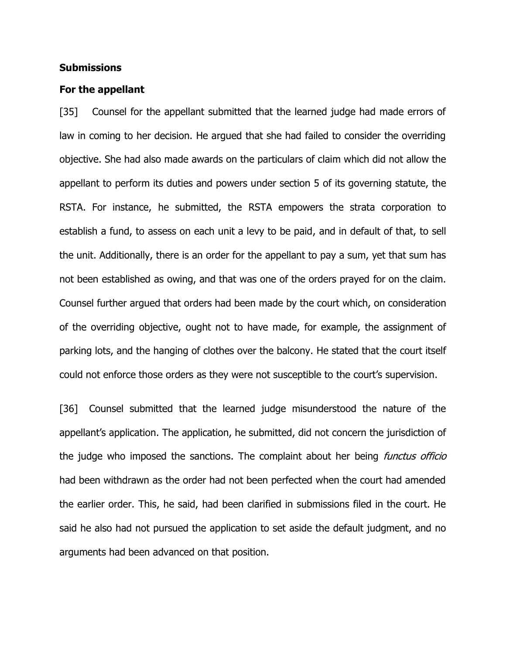### **Submissions**

#### **For the appellant**

[35] Counsel for the appellant submitted that the learned judge had made errors of law in coming to her decision. He argued that she had failed to consider the overriding objective. She had also made awards on the particulars of claim which did not allow the appellant to perform its duties and powers under section 5 of its governing statute, the RSTA. For instance, he submitted, the RSTA empowers the strata corporation to establish a fund, to assess on each unit a levy to be paid, and in default of that, to sell the unit. Additionally, there is an order for the appellant to pay a sum, yet that sum has not been established as owing, and that was one of the orders prayed for on the claim. Counsel further argued that orders had been made by the court which, on consideration of the overriding objective, ought not to have made, for example, the assignment of parking lots, and the hanging of clothes over the balcony. He stated that the court itself could not enforce those orders as they were not susceptible to the court's supervision.

[36] Counsel submitted that the learned judge misunderstood the nature of the appellant's application. The application, he submitted, did not concern the jurisdiction of the judge who imposed the sanctions. The complaint about her being *functus officio* had been withdrawn as the order had not been perfected when the court had amended the earlier order. This, he said, had been clarified in submissions filed in the court. He said he also had not pursued the application to set aside the default judgment, and no arguments had been advanced on that position.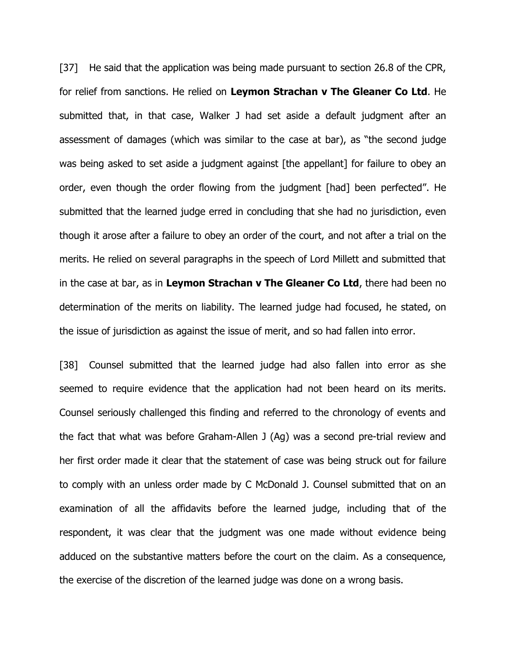[37] He said that the application was being made pursuant to section 26.8 of the CPR, for relief from sanctions. He relied on **Leymon Strachan v The Gleaner Co Ltd**. He submitted that, in that case, Walker J had set aside a default judgment after an assessment of damages (which was similar to the case at bar), as "the second judge was being asked to set aside a judgment against [the appellant] for failure to obey an order, even though the order flowing from the judgment [had] been perfected". He submitted that the learned judge erred in concluding that she had no jurisdiction, even though it arose after a failure to obey an order of the court, and not after a trial on the merits. He relied on several paragraphs in the speech of Lord Millett and submitted that in the case at bar, as in **Leymon Strachan v The Gleaner Co Ltd**, there had been no determination of the merits on liability. The learned judge had focused, he stated, on the issue of jurisdiction as against the issue of merit, and so had fallen into error.

[38] Counsel submitted that the learned judge had also fallen into error as she seemed to require evidence that the application had not been heard on its merits. Counsel seriously challenged this finding and referred to the chronology of events and the fact that what was before Graham-Allen J (Ag) was a second pre-trial review and her first order made it clear that the statement of case was being struck out for failure to comply with an unless order made by C McDonald J. Counsel submitted that on an examination of all the affidavits before the learned judge, including that of the respondent, it was clear that the judgment was one made without evidence being adduced on the substantive matters before the court on the claim. As a consequence, the exercise of the discretion of the learned judge was done on a wrong basis.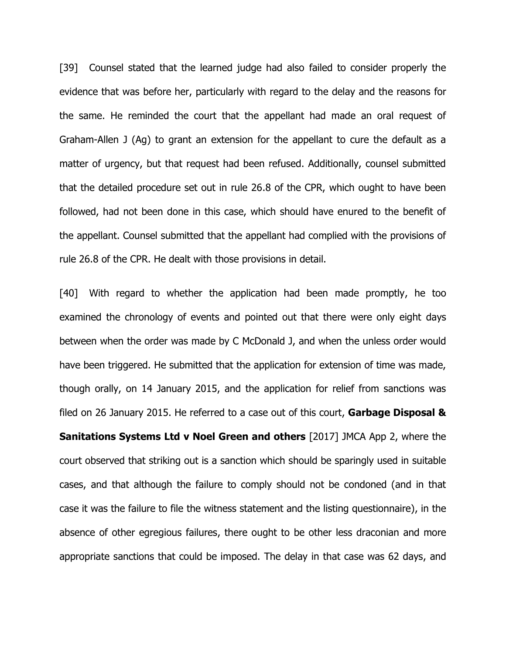[39] Counsel stated that the learned judge had also failed to consider properly the evidence that was before her, particularly with regard to the delay and the reasons for the same. He reminded the court that the appellant had made an oral request of Graham-Allen J (Ag) to grant an extension for the appellant to cure the default as a matter of urgency, but that request had been refused. Additionally, counsel submitted that the detailed procedure set out in rule 26.8 of the CPR, which ought to have been followed, had not been done in this case, which should have enured to the benefit of the appellant. Counsel submitted that the appellant had complied with the provisions of rule 26.8 of the CPR. He dealt with those provisions in detail.

[40] With regard to whether the application had been made promptly, he too examined the chronology of events and pointed out that there were only eight days between when the order was made by C McDonald J, and when the unless order would have been triggered. He submitted that the application for extension of time was made, though orally, on 14 January 2015, and the application for relief from sanctions was filed on 26 January 2015. He referred to a case out of this court, **Garbage Disposal & Sanitations Systems Ltd v Noel Green and others** [2017] JMCA App 2, where the court observed that striking out is a sanction which should be sparingly used in suitable cases, and that although the failure to comply should not be condoned (and in that case it was the failure to file the witness statement and the listing questionnaire), in the absence of other egregious failures, there ought to be other less draconian and more appropriate sanctions that could be imposed. The delay in that case was 62 days, and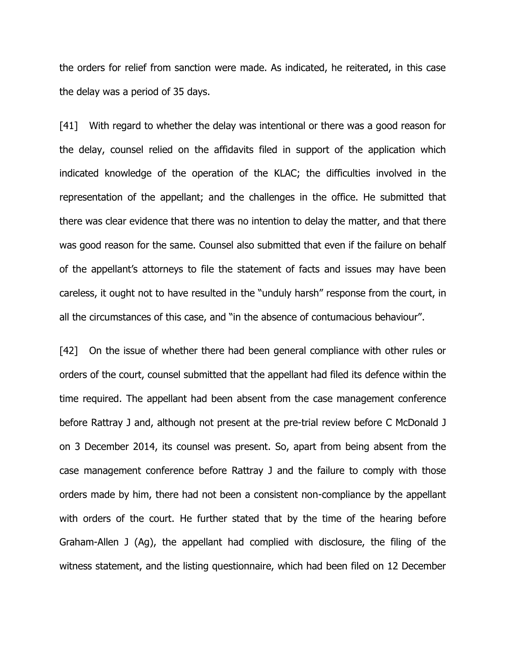the orders for relief from sanction were made. As indicated, he reiterated, in this case the delay was a period of 35 days.

[41] With regard to whether the delay was intentional or there was a good reason for the delay, counsel relied on the affidavits filed in support of the application which indicated knowledge of the operation of the KLAC; the difficulties involved in the representation of the appellant; and the challenges in the office. He submitted that there was clear evidence that there was no intention to delay the matter, and that there was good reason for the same. Counsel also submitted that even if the failure on behalf of the appellant's attorneys to file the statement of facts and issues may have been careless, it ought not to have resulted in the "unduly harsh" response from the court, in all the circumstances of this case, and "in the absence of contumacious behaviour".

[42] On the issue of whether there had been general compliance with other rules or orders of the court, counsel submitted that the appellant had filed its defence within the time required. The appellant had been absent from the case management conference before Rattray J and, although not present at the pre-trial review before C McDonald J on 3 December 2014, its counsel was present. So, apart from being absent from the case management conference before Rattray J and the failure to comply with those orders made by him, there had not been a consistent non-compliance by the appellant with orders of the court. He further stated that by the time of the hearing before Graham-Allen J (Ag), the appellant had complied with disclosure, the filing of the witness statement, and the listing questionnaire, which had been filed on 12 December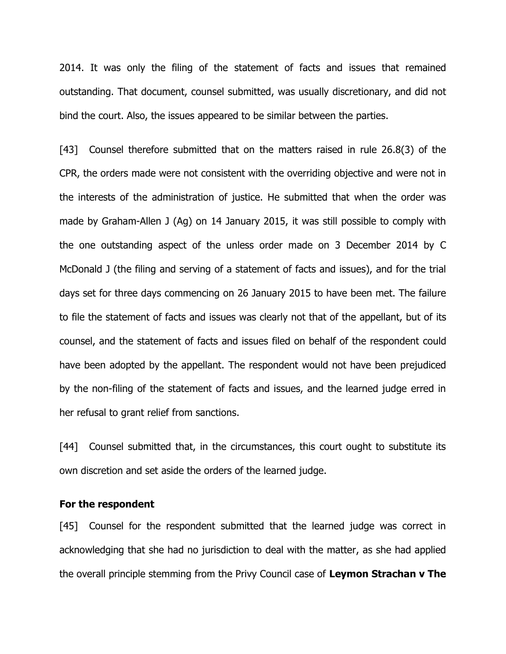2014. It was only the filing of the statement of facts and issues that remained outstanding. That document, counsel submitted, was usually discretionary, and did not bind the court. Also, the issues appeared to be similar between the parties.

[43] Counsel therefore submitted that on the matters raised in rule 26.8(3) of the CPR, the orders made were not consistent with the overriding objective and were not in the interests of the administration of justice. He submitted that when the order was made by Graham-Allen J (Ag) on 14 January 2015, it was still possible to comply with the one outstanding aspect of the unless order made on 3 December 2014 by C McDonald J (the filing and serving of a statement of facts and issues), and for the trial days set for three days commencing on 26 January 2015 to have been met. The failure to file the statement of facts and issues was clearly not that of the appellant, but of its counsel, and the statement of facts and issues filed on behalf of the respondent could have been adopted by the appellant. The respondent would not have been prejudiced by the non-filing of the statement of facts and issues, and the learned judge erred in her refusal to grant relief from sanctions.

[44] Counsel submitted that, in the circumstances, this court ought to substitute its own discretion and set aside the orders of the learned judge.

#### **For the respondent**

[45] Counsel for the respondent submitted that the learned judge was correct in acknowledging that she had no jurisdiction to deal with the matter, as she had applied the overall principle stemming from the Privy Council case of **Leymon Strachan v The**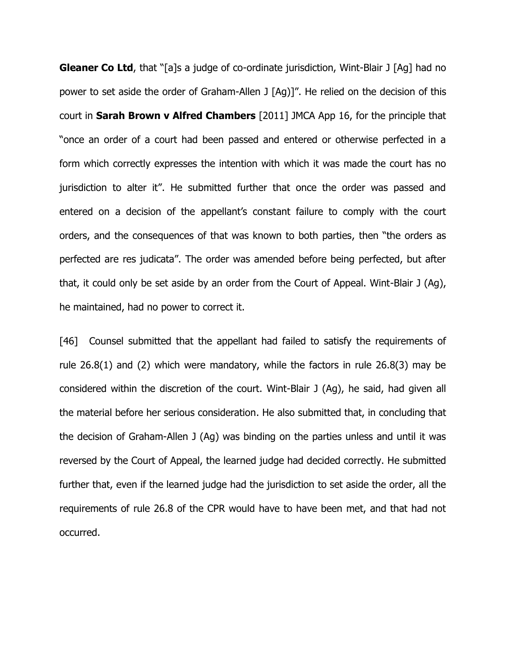**Gleaner Co Ltd**, that "[a]s a judge of co-ordinate jurisdiction, Wint-Blair J [Ag] had no power to set aside the order of Graham-Allen J [Ag)]". He relied on the decision of this court in **Sarah Brown v Alfred Chambers** [2011] JMCA App 16, for the principle that "once an order of a court had been passed and entered or otherwise perfected in a form which correctly expresses the intention with which it was made the court has no jurisdiction to alter it". He submitted further that once the order was passed and entered on a decision of the appellant's constant failure to comply with the court orders, and the consequences of that was known to both parties, then "the orders as perfected are res judicata". The order was amended before being perfected, but after that, it could only be set aside by an order from the Court of Appeal. Wint-Blair J (Ag), he maintained, had no power to correct it.

[46] Counsel submitted that the appellant had failed to satisfy the requirements of rule 26.8(1) and (2) which were mandatory, while the factors in rule 26.8(3) may be considered within the discretion of the court. Wint-Blair J (Ag), he said, had given all the material before her serious consideration. He also submitted that, in concluding that the decision of Graham-Allen J (Ag) was binding on the parties unless and until it was reversed by the Court of Appeal, the learned judge had decided correctly. He submitted further that, even if the learned judge had the jurisdiction to set aside the order, all the requirements of rule 26.8 of the CPR would have to have been met, and that had not occurred.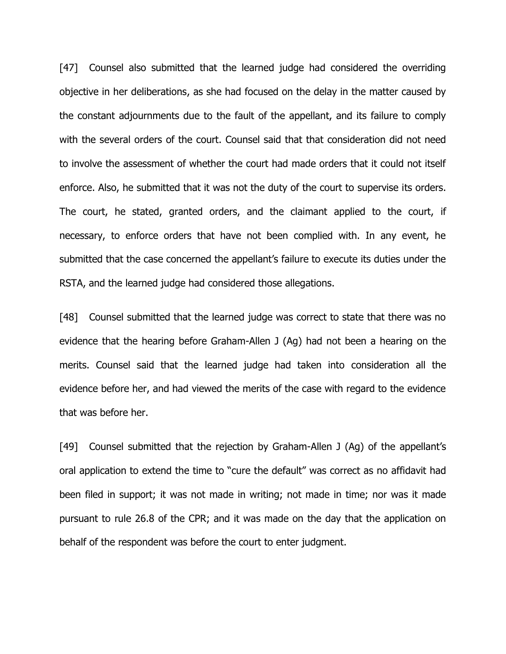[47] Counsel also submitted that the learned judge had considered the overriding objective in her deliberations, as she had focused on the delay in the matter caused by the constant adjournments due to the fault of the appellant, and its failure to comply with the several orders of the court. Counsel said that that consideration did not need to involve the assessment of whether the court had made orders that it could not itself enforce. Also, he submitted that it was not the duty of the court to supervise its orders. The court, he stated, granted orders, and the claimant applied to the court, if necessary, to enforce orders that have not been complied with. In any event, he submitted that the case concerned the appellant's failure to execute its duties under the RSTA, and the learned judge had considered those allegations.

[48] Counsel submitted that the learned judge was correct to state that there was no evidence that the hearing before Graham-Allen J (Ag) had not been a hearing on the merits. Counsel said that the learned judge had taken into consideration all the evidence before her, and had viewed the merits of the case with regard to the evidence that was before her.

[49] Counsel submitted that the rejection by Graham-Allen J (Ag) of the appellant's oral application to extend the time to "cure the default" was correct as no affidavit had been filed in support; it was not made in writing; not made in time; nor was it made pursuant to rule 26.8 of the CPR; and it was made on the day that the application on behalf of the respondent was before the court to enter judgment.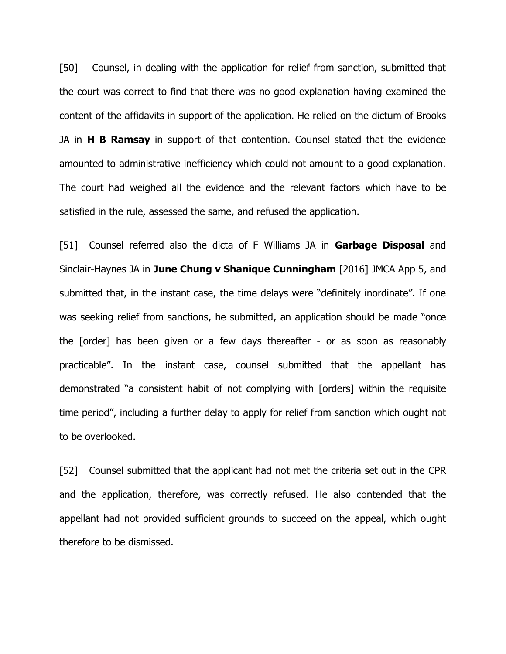[50] Counsel, in dealing with the application for relief from sanction, submitted that the court was correct to find that there was no good explanation having examined the content of the affidavits in support of the application. He relied on the dictum of Brooks JA in **H B Ramsay** in support of that contention. Counsel stated that the evidence amounted to administrative inefficiency which could not amount to a good explanation. The court had weighed all the evidence and the relevant factors which have to be satisfied in the rule, assessed the same, and refused the application.

[51] Counsel referred also the dicta of F Williams JA in **Garbage Disposal** and Sinclair-Haynes JA in **June Chung v Shanique Cunningham** [2016] JMCA App 5, and submitted that, in the instant case, the time delays were "definitely inordinate". If one was seeking relief from sanctions, he submitted, an application should be made "once the [order] has been given or a few days thereafter - or as soon as reasonably practicable". In the instant case, counsel submitted that the appellant has demonstrated "a consistent habit of not complying with [orders] within the requisite time period", including a further delay to apply for relief from sanction which ought not to be overlooked.

[52] Counsel submitted that the applicant had not met the criteria set out in the CPR and the application, therefore, was correctly refused. He also contended that the appellant had not provided sufficient grounds to succeed on the appeal, which ought therefore to be dismissed.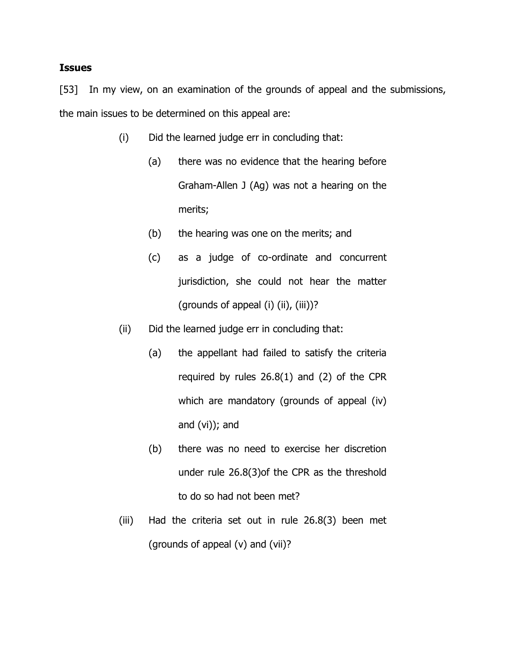### **Issues**

[53] In my view, on an examination of the grounds of appeal and the submissions, the main issues to be determined on this appeal are:

- (i) Did the learned judge err in concluding that:
	- (a) there was no evidence that the hearing before Graham-Allen J (Ag) was not a hearing on the merits;
	- (b) the hearing was one on the merits; and
	- (c) as a judge of co-ordinate and concurrent jurisdiction, she could not hear the matter (grounds of appeal  $(i)$   $(ii)$ ,  $(iii)$ )?
- (ii) Did the learned judge err in concluding that:
	- (a) the appellant had failed to satisfy the criteria required by rules 26.8(1) and (2) of the CPR which are mandatory (grounds of appeal (iv) and (vi)); and
	- (b) there was no need to exercise her discretion under rule 26.8(3)of the CPR as the threshold to do so had not been met?
- (iii) Had the criteria set out in rule 26.8(3) been met (grounds of appeal (v) and (vii)?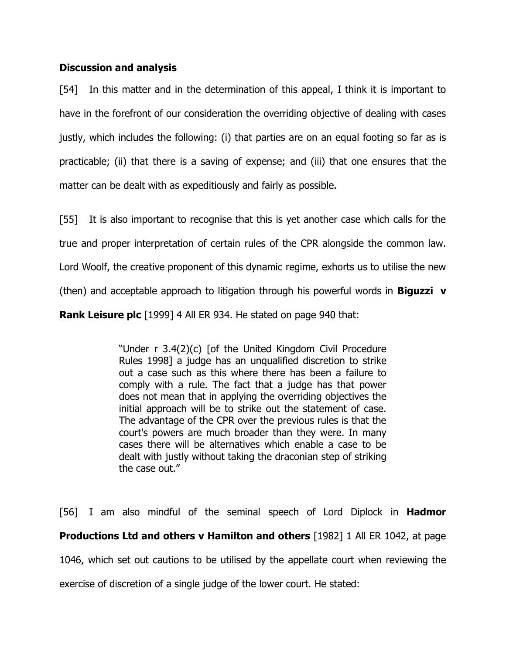# **Discussion and analysis**

[54] In this matter and in the determination of this appeal, I think it is important to have in the forefront of our consideration the overriding objective of dealing with cases justly, which includes the following: (i) that parties are on an equal footing so far as is practicable; (ii) that there is a saving of expense; and (iii) that one ensures that the matter can be dealt with as expeditiously and fairly as possible.

[55] It is also important to recognise that this is yet another case which calls for the

true and proper interpretation of certain rules of the CPR alongside the common law.

Lord Woolf, the creative proponent of this dynamic regime, exhorts us to utilise the new

(then) and acceptable approach to litigation through his powerful words in **Biguzzi v** 

**Rank Leisure plc** [1999] 4 All ER 934. He stated on page 940 that:

"Under r 3.4(2)(c) [of the United Kingdom Civil Procedure Rules 1998] a judge has an unqualified discretion to strike out a case such as this where there has been a failure to comply with a rule. The fact that a judge has that power does not mean that in applying the overriding objectives the initial approach will be to strike out the statement of case. The advantage of the CPR over the previous rules is that the court's powers are much broader than they were. In many cases there will be alternatives which enable a case to be dealt with justly without taking the draconian step of striking the case out."

[56] I am also mindful of the seminal speech of Lord Diplock in **Hadmor Productions Ltd and others v Hamilton and others** [1982] 1 All ER 1042, at page 1046, which set out cautions to be utilised by the appellate court when reviewing the exercise of discretion of a single judge of the lower court. He stated: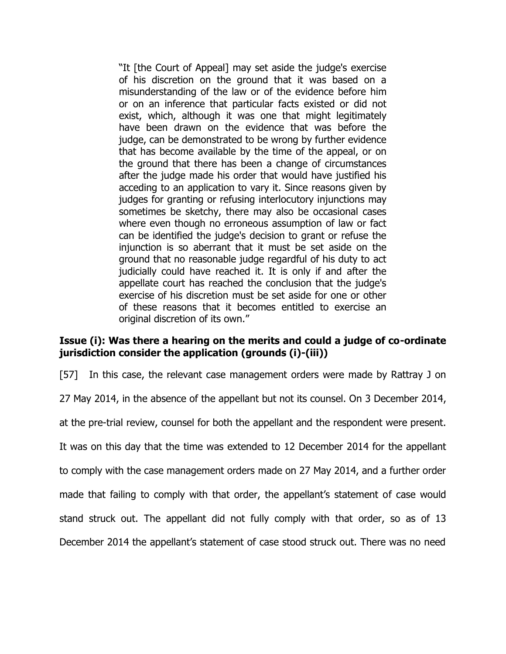"It [the Court of Appeal] may set aside the judge's exercise of his discretion on the ground that it was based on a misunderstanding of the law or of the evidence before him or on an inference that particular facts existed or did not exist, which, although it was one that might legitimately have been drawn on the evidence that was before the judge, can be demonstrated to be wrong by further evidence that has become available by the time of the appeal, or on the ground that there has been a change of circumstances after the judge made his order that would have justified his acceding to an application to vary it. Since reasons given by judges for granting or refusing interlocutory injunctions may sometimes be sketchy, there may also be occasional cases where even though no erroneous assumption of law or fact can be identified the judge's decision to grant or refuse the injunction is so aberrant that it must be set aside on the ground that no reasonable judge regardful of his duty to act judicially could have reached it. It is only if and after the appellate court has reached the conclusion that the judge's exercise of his discretion must be set aside for one or other of these reasons that it becomes entitled to exercise an original discretion of its own."

# **Issue (i): Was there a hearing on the merits and could a judge of co-ordinate jurisdiction consider the application (grounds (i)-(iii))**

[57] In this case, the relevant case management orders were made by Rattray J on

27 May 2014, in the absence of the appellant but not its counsel. On 3 December 2014,

at the pre-trial review, counsel for both the appellant and the respondent were present.

It was on this day that the time was extended to 12 December 2014 for the appellant

to comply with the case management orders made on 27 May 2014, and a further order

made that failing to comply with that order, the appellant's statement of case would

stand struck out. The appellant did not fully comply with that order, so as of 13

December 2014 the appellant's statement of case stood struck out. There was no need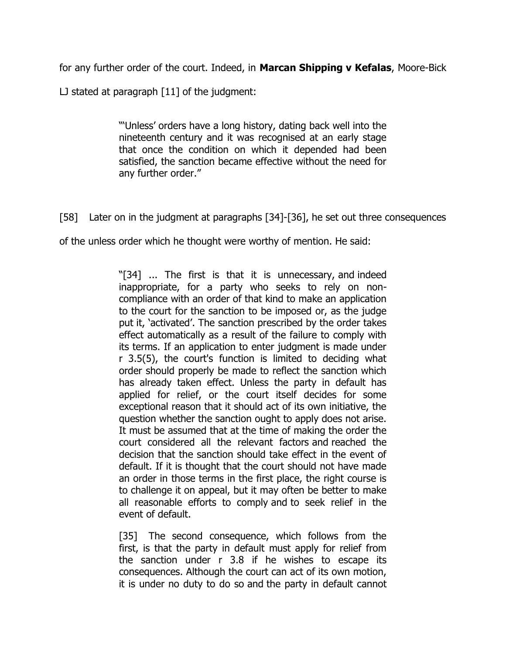for any further order of the court. Indeed, in **Marcan Shipping v Kefalas**, Moore-Bick

LJ stated at paragraph [11] of the judgment:

"'Unless' orders have a long history, dating back well into the nineteenth century and it was recognised at an early stage that once the condition on which it depended had been satisfied, the sanction became effective without the need for any further order."

[58] Later on in the judgment at paragraphs [34]-[36], he set out three consequences

of the unless order which he thought were worthy of mention. He said:

"[34] ... The first is that it is unnecessary, and indeed inappropriate, for a party who seeks to rely on noncompliance with an order of that kind to make an application to the court for the sanction to be imposed or, as the judge put it, 'activated'. The sanction prescribed by the order takes effect automatically as a result of the failure to comply with its terms. If an application to enter judgment is made under r 3.5(5), the court's function is limited to deciding what order should properly be made to reflect the sanction which has already taken effect. Unless the party in default has applied for relief, or the court itself decides for some exceptional reason that it should act of its own initiative, the question whether the sanction ought to apply does not arise. It must be assumed that at the time of making the order the court considered all the relevant factors and reached the decision that the sanction should take effect in the event of default. If it is thought that the court should not have made an order in those terms in the first place, the right course is to challenge it on appeal, but it may often be better to make all reasonable efforts to comply and to seek relief in the event of default.

[35] The second consequence, which follows from the first, is that the party in default must apply for relief from the sanction under r 3.8 if he wishes to escape its consequences. Although the court can act of its own motion, it is under no duty to do so and the party in default cannot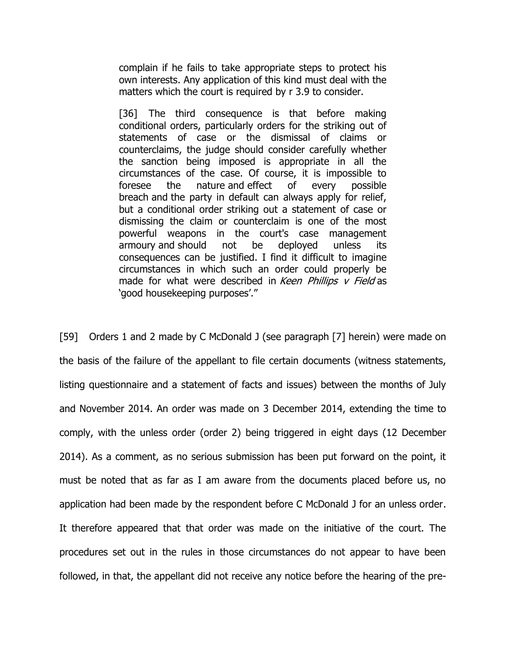complain if he fails to take appropriate steps to protect his own interests. Any application of this kind must deal with the matters which the court is required by r 3.9 to consider.

[36] The third consequence is that before making conditional orders, particularly orders for the striking out of statements of case or the dismissal of claims or counterclaims, the judge should consider carefully whether the sanction being imposed is appropriate in all the circumstances of the case. Of course, it is impossible to foresee the nature and effect of every possible breach and the party in default can always apply for relief, but a conditional order striking out a statement of case or dismissing the claim or counterclaim is one of the most powerful weapons in the court's case management armoury and should not be deployed unless its consequences can be justified. I find it difficult to imagine circumstances in which such an order could properly be made for what were described in Keen Phillips  $v$  Field as 'good housekeeping purposes'."

[59] Orders 1 and 2 made by C McDonald J (see paragraph [7] herein) were made on the basis of the failure of the appellant to file certain documents (witness statements, listing questionnaire and a statement of facts and issues) between the months of July and November 2014. An order was made on 3 December 2014, extending the time to comply, with the unless order (order 2) being triggered in eight days (12 December 2014). As a comment, as no serious submission has been put forward on the point, it must be noted that as far as I am aware from the documents placed before us, no application had been made by the respondent before C McDonald J for an unless order. It therefore appeared that that order was made on the initiative of the court. The procedures set out in the rules in those circumstances do not appear to have been followed, in that, the appellant did not receive any notice before the hearing of the pre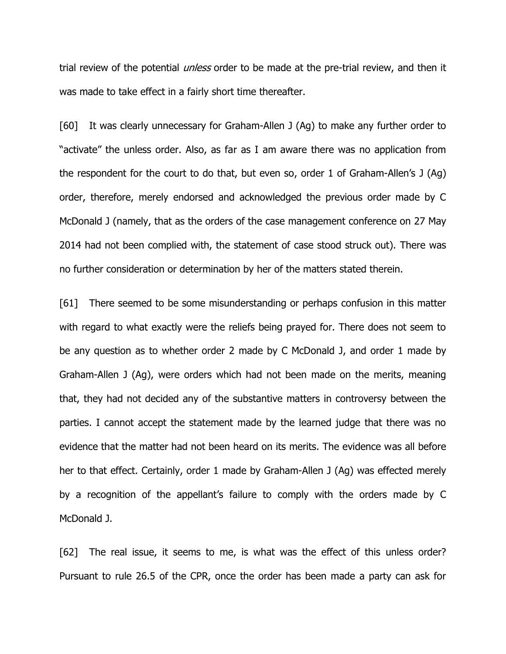trial review of the potential *unless* order to be made at the pre-trial review, and then it was made to take effect in a fairly short time thereafter.

[60] It was clearly unnecessary for Graham-Allen J (Ag) to make any further order to "activate" the unless order. Also, as far as I am aware there was no application from the respondent for the court to do that, but even so, order 1 of Graham-Allen's J (Ag) order, therefore, merely endorsed and acknowledged the previous order made by C McDonald J (namely, that as the orders of the case management conference on 27 May 2014 had not been complied with, the statement of case stood struck out). There was no further consideration or determination by her of the matters stated therein.

[61] There seemed to be some misunderstanding or perhaps confusion in this matter with regard to what exactly were the reliefs being prayed for. There does not seem to be any question as to whether order 2 made by C McDonald J, and order 1 made by Graham-Allen J (Ag), were orders which had not been made on the merits, meaning that, they had not decided any of the substantive matters in controversy between the parties. I cannot accept the statement made by the learned judge that there was no evidence that the matter had not been heard on its merits. The evidence was all before her to that effect. Certainly, order 1 made by Graham-Allen J (Ag) was effected merely by a recognition of the appellant's failure to comply with the orders made by C McDonald J.

[62] The real issue, it seems to me, is what was the effect of this unless order? Pursuant to rule 26.5 of the CPR, once the order has been made a party can ask for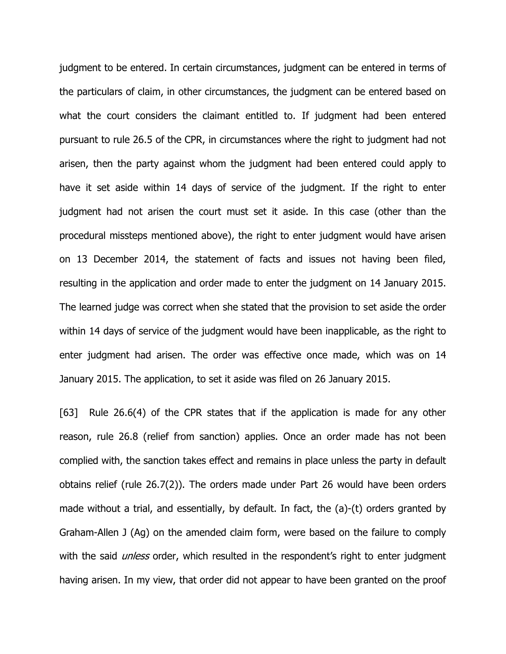judgment to be entered. In certain circumstances, judgment can be entered in terms of the particulars of claim, in other circumstances, the judgment can be entered based on what the court considers the claimant entitled to. If judgment had been entered pursuant to rule 26.5 of the CPR, in circumstances where the right to judgment had not arisen, then the party against whom the judgment had been entered could apply to have it set aside within 14 days of service of the judgment. If the right to enter judgment had not arisen the court must set it aside. In this case (other than the procedural missteps mentioned above), the right to enter judgment would have arisen on 13 December 2014, the statement of facts and issues not having been filed, resulting in the application and order made to enter the judgment on 14 January 2015. The learned judge was correct when she stated that the provision to set aside the order within 14 days of service of the judgment would have been inapplicable, as the right to enter judgment had arisen. The order was effective once made, which was on 14 January 2015. The application, to set it aside was filed on 26 January 2015.

[63] Rule 26.6(4) of the CPR states that if the application is made for any other reason, rule 26.8 (relief from sanction) applies. Once an order made has not been complied with, the sanction takes effect and remains in place unless the party in default obtains relief (rule 26.7(2)). The orders made under Part 26 would have been orders made without a trial, and essentially, by default. In fact, the (a)-(t) orders granted by Graham-Allen J (Ag) on the amended claim form, were based on the failure to comply with the said *unless* order, which resulted in the respondent's right to enter judgment having arisen. In my view, that order did not appear to have been granted on the proof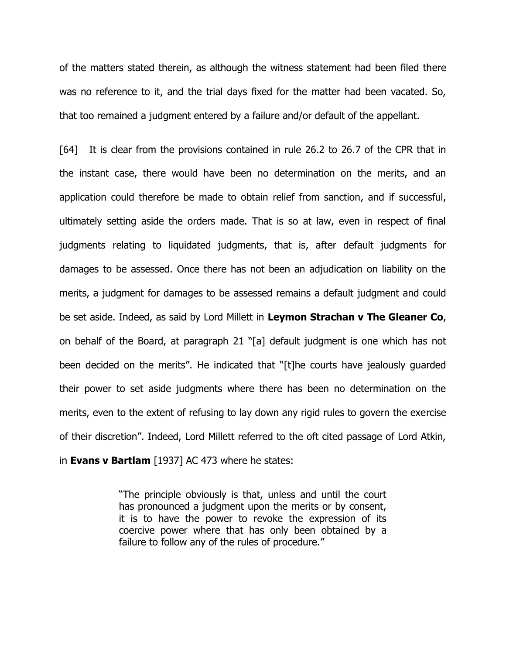of the matters stated therein, as although the witness statement had been filed there was no reference to it, and the trial days fixed for the matter had been vacated. So, that too remained a judgment entered by a failure and/or default of the appellant.

[64] It is clear from the provisions contained in rule 26.2 to 26.7 of the CPR that in the instant case, there would have been no determination on the merits, and an application could therefore be made to obtain relief from sanction, and if successful, ultimately setting aside the orders made. That is so at law, even in respect of final judgments relating to liquidated judgments, that is, after default judgments for damages to be assessed. Once there has not been an adjudication on liability on the merits, a judgment for damages to be assessed remains a default judgment and could be set aside. Indeed, as said by Lord Millett in **Leymon Strachan v The Gleaner Co**, on behalf of the Board, at paragraph 21 "[a] default judgment is one which has not been decided on the merits". He indicated that "[t]he courts have jealously guarded their power to set aside judgments where there has been no determination on the merits, even to the extent of refusing to lay down any rigid rules to govern the exercise of their discretion". Indeed, Lord Millett referred to the oft cited passage of Lord Atkin, in **Evans v Bartlam** [1937] AC 473 where he states:

> "The principle obviously is that, unless and until the court has pronounced a judgment upon the merits or by consent, it is to have the power to revoke the expression of its coercive power where that has only been obtained by a failure to follow any of the rules of procedure."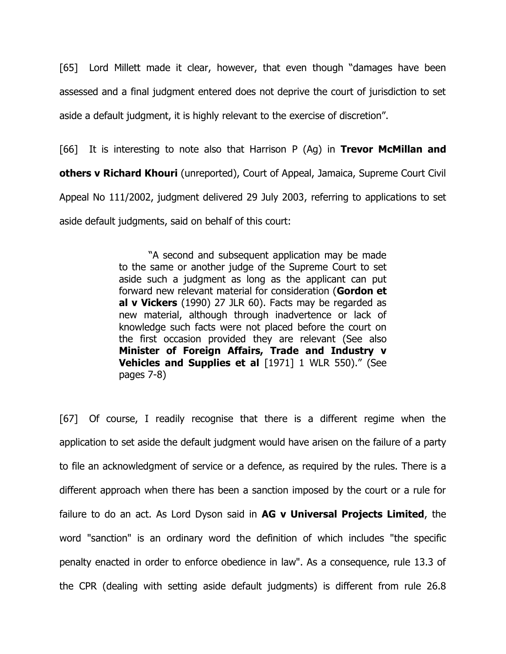[65] Lord Millett made it clear, however, that even though "damages have been assessed and a final judgment entered does not deprive the court of jurisdiction to set aside a default judgment, it is highly relevant to the exercise of discretion".

[66] It is interesting to note also that Harrison P (Ag) in **Trevor McMillan and others v Richard Khouri** (unreported), Court of Appeal, Jamaica, Supreme Court Civil Appeal No 111/2002, judgment delivered 29 July 2003, referring to applications to set aside default judgments, said on behalf of this court:

> "A second and subsequent application may be made to the same or another judge of the Supreme Court to set aside such a judgment as long as the applicant can put forward new relevant material for consideration (**Gordon et al v Vickers** (1990) 27 JLR 60). Facts may be regarded as new material, although through inadvertence or lack of knowledge such facts were not placed before the court on the first occasion provided they are relevant (See also **Minister of Foreign Affairs, Trade and Industry v Vehicles and Supplies et al** [1971] 1 WLR 550)." (See pages 7-8)

[67] Of course, I readily recognise that there is a different regime when the application to set aside the default judgment would have arisen on the failure of a party to file an acknowledgment of service or a defence, as required by the rules. There is a different approach when there has been a sanction imposed by the court or a rule for failure to do an act. As Lord Dyson said in **AG v Universal Projects Limited**, the word "sanction" is an ordinary word the definition of which includes "the specific penalty enacted in order to enforce obedience in law". As a consequence, rule 13.3 of the CPR (dealing with setting aside default judgments) is different from rule 26.8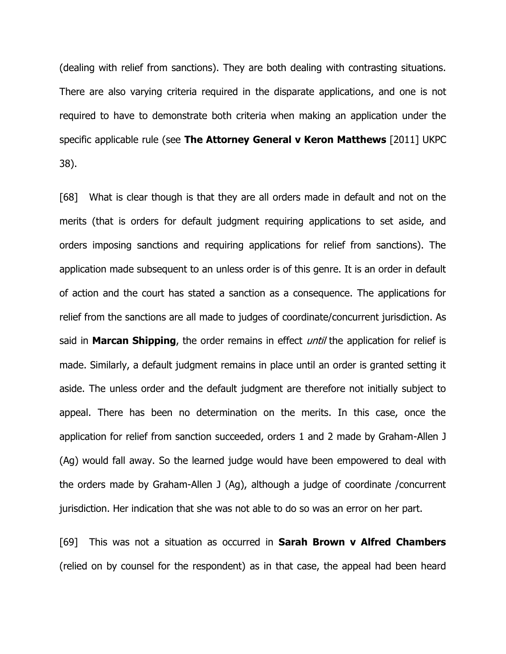(dealing with relief from sanctions). They are both dealing with contrasting situations. There are also varying criteria required in the disparate applications, and one is not required to have to demonstrate both criteria when making an application under the specific applicable rule (see **The Attorney General v Keron Matthews** [2011] UKPC 38).

[68] What is clear though is that they are all orders made in default and not on the merits (that is orders for default judgment requiring applications to set aside, and orders imposing sanctions and requiring applications for relief from sanctions). The application made subsequent to an unless order is of this genre. It is an order in default of action and the court has stated a sanction as a consequence. The applications for relief from the sanctions are all made to judges of coordinate/concurrent jurisdiction. As said in **Marcan Shipping**, the order remains in effect until the application for relief is made. Similarly, a default judgment remains in place until an order is granted setting it aside. The unless order and the default judgment are therefore not initially subject to appeal. There has been no determination on the merits. In this case, once the application for relief from sanction succeeded, orders 1 and 2 made by Graham-Allen J (Ag) would fall away. So the learned judge would have been empowered to deal with the orders made by Graham-Allen J (Ag), although a judge of coordinate /concurrent jurisdiction. Her indication that she was not able to do so was an error on her part.

[69] This was not a situation as occurred in **Sarah Brown v Alfred Chambers** (relied on by counsel for the respondent) as in that case, the appeal had been heard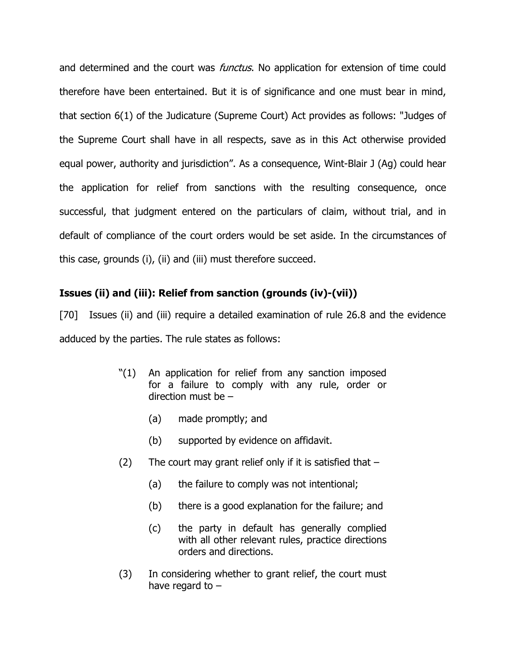and determined and the court was *functus*. No application for extension of time could therefore have been entertained. But it is of significance and one must bear in mind, that section 6(1) of the Judicature (Supreme Court) Act provides as follows: "Judges of the Supreme Court shall have in all respects, save as in this Act otherwise provided equal power, authority and jurisdiction". As a consequence, Wint-Blair J (Ag) could hear the application for relief from sanctions with the resulting consequence, once successful, that judgment entered on the particulars of claim, without trial, and in default of compliance of the court orders would be set aside. In the circumstances of this case, grounds (i), (ii) and (iii) must therefore succeed.

# **Issues (ii) and (iii): Relief from sanction (grounds (iv)-(vii))**

[70] Issues (ii) and (iii) require a detailed examination of rule 26.8 and the evidence adduced by the parties. The rule states as follows:

- "(1) An application for relief from any sanction imposed for a failure to comply with any rule, order or direction must be –
	- (a) made promptly; and
	- (b) supported by evidence on affidavit.
- $(2)$  The court may grant relief only if it is satisfied that  $-$ 
	- (a) the failure to comply was not intentional;
	- (b) there is a good explanation for the failure; and
	- (c) the party in default has generally complied with all other relevant rules, practice directions orders and directions.
- (3) In considering whether to grant relief, the court must have regard to –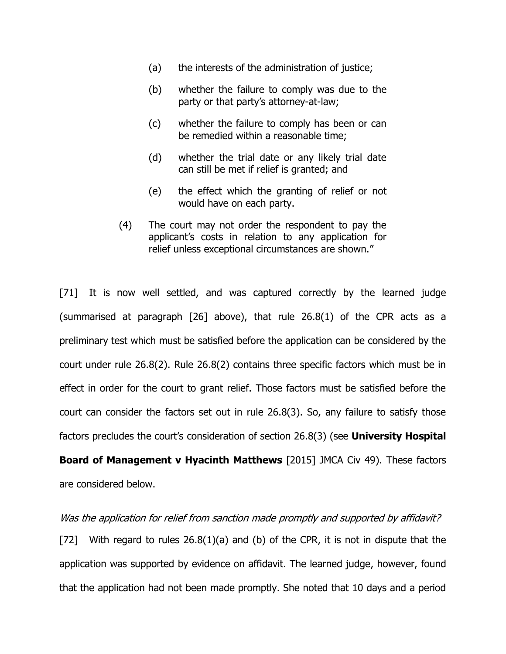- (a) the interests of the administration of justice;
- (b) whether the failure to comply was due to the party or that party's attorney-at-law;
- (c) whether the failure to comply has been or can be remedied within a reasonable time;
- (d) whether the trial date or any likely trial date can still be met if relief is granted; and
- (e) the effect which the granting of relief or not would have on each party.
- (4) The court may not order the respondent to pay the applicant's costs in relation to any application for relief unless exceptional circumstances are shown."

[71] It is now well settled, and was captured correctly by the learned judge (summarised at paragraph [26] above), that rule 26.8(1) of the CPR acts as a preliminary test which must be satisfied before the application can be considered by the court under rule 26.8(2). Rule 26.8(2) contains three specific factors which must be in effect in order for the court to grant relief. Those factors must be satisfied before the court can consider the factors set out in rule 26.8(3). So, any failure to satisfy those factors precludes the court's consideration of section 26.8(3) (see **University Hospital** 

**Board of Management v Hyacinth Matthews** [2015] JMCA Civ 49). These factors are considered below.

### Was the application for relief from sanction made promptly and supported by affidavit?

[72] With regard to rules  $26.8(1)(a)$  and (b) of the CPR, it is not in dispute that the application was supported by evidence on affidavit. The learned judge, however, found that the application had not been made promptly. She noted that 10 days and a period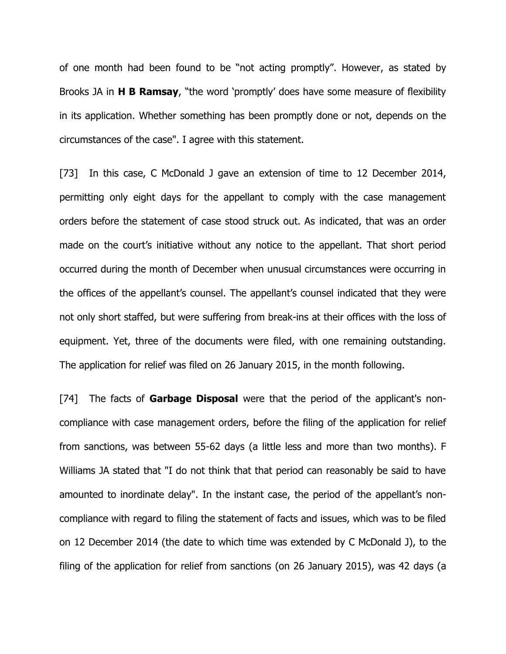of one month had been found to be "not acting promptly". However, as stated by Brooks JA in **H B Ramsay**, "the word 'promptly' does have some measure of flexibility in its application. Whether something has been promptly done or not, depends on the circumstances of the case". I agree with this statement.

[73] In this case, C McDonald J gave an extension of time to 12 December 2014, permitting only eight days for the appellant to comply with the case management orders before the statement of case stood struck out. As indicated, that was an order made on the court's initiative without any notice to the appellant. That short period occurred during the month of December when unusual circumstances were occurring in the offices of the appellant's counsel. The appellant's counsel indicated that they were not only short staffed, but were suffering from break-ins at their offices with the loss of equipment. Yet, three of the documents were filed, with one remaining outstanding. The application for relief was filed on 26 January 2015, in the month following.

[74] The facts of **Garbage Disposal** were that the period of the applicant's noncompliance with case management orders, before the filing of the application for relief from sanctions, was between 55-62 days (a little less and more than two months). F Williams JA stated that "I do not think that that period can reasonably be said to have amounted to inordinate delay". In the instant case, the period of the appellant's noncompliance with regard to filing the statement of facts and issues, which was to be filed on 12 December 2014 (the date to which time was extended by C McDonald J), to the filing of the application for relief from sanctions (on 26 January 2015), was 42 days (a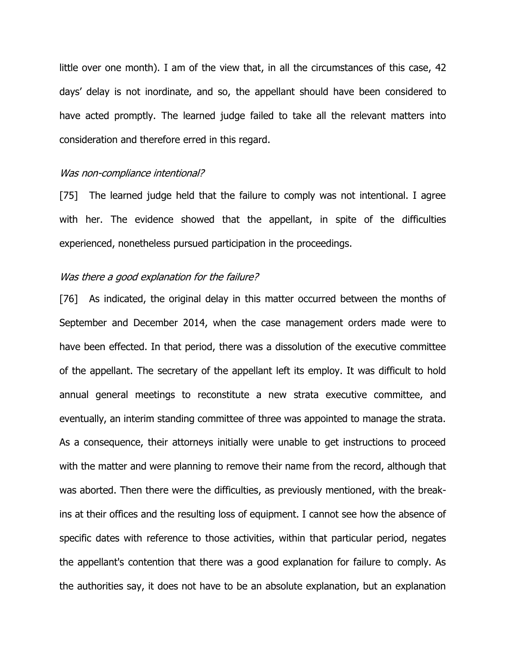little over one month). I am of the view that, in all the circumstances of this case, 42 days' delay is not inordinate, and so, the appellant should have been considered to have acted promptly. The learned judge failed to take all the relevant matters into consideration and therefore erred in this regard.

### Was non-compliance intentional?

[75] The learned judge held that the failure to comply was not intentional. I agree with her. The evidence showed that the appellant, in spite of the difficulties experienced, nonetheless pursued participation in the proceedings.

### Was there a good explanation for the failure?

[76] As indicated, the original delay in this matter occurred between the months of September and December 2014, when the case management orders made were to have been effected. In that period, there was a dissolution of the executive committee of the appellant. The secretary of the appellant left its employ. It was difficult to hold annual general meetings to reconstitute a new strata executive committee, and eventually, an interim standing committee of three was appointed to manage the strata. As a consequence, their attorneys initially were unable to get instructions to proceed with the matter and were planning to remove their name from the record, although that was aborted. Then there were the difficulties, as previously mentioned, with the breakins at their offices and the resulting loss of equipment. I cannot see how the absence of specific dates with reference to those activities, within that particular period, negates the appellant's contention that there was a good explanation for failure to comply. As the authorities say, it does not have to be an absolute explanation, but an explanation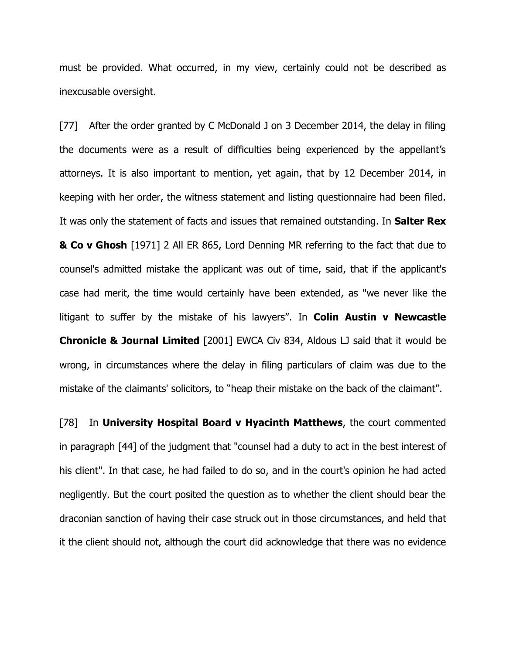must be provided. What occurred, in my view, certainly could not be described as inexcusable oversight.

[77] After the order granted by C McDonald J on 3 December 2014, the delay in filing the documents were as a result of difficulties being experienced by the appellant's attorneys. It is also important to mention, yet again, that by 12 December 2014, in keeping with her order, the witness statement and listing questionnaire had been filed. It was only the statement of facts and issues that remained outstanding. In **Salter Rex & Co v Ghosh** [1971] 2 All ER 865, Lord Denning MR referring to the fact that due to counsel's admitted mistake the applicant was out of time, said, that if the applicant's case had merit, the time would certainly have been extended, as "we never like the litigant to suffer by the mistake of his lawyers". In **Colin Austin v Newcastle Chronicle & Journal Limited** [2001] EWCA Civ 834, Aldous LJ said that it would be wrong, in circumstances where the delay in filing particulars of claim was due to the mistake of the claimants' solicitors, to "heap their mistake on the back of the claimant".

[78] In **University Hospital Board v Hyacinth Matthews**, the court commented in paragraph [44] of the judgment that "counsel had a duty to act in the best interest of his client". In that case, he had failed to do so, and in the court's opinion he had acted negligently. But the court posited the question as to whether the client should bear the draconian sanction of having their case struck out in those circumstances, and held that it the client should not, although the court did acknowledge that there was no evidence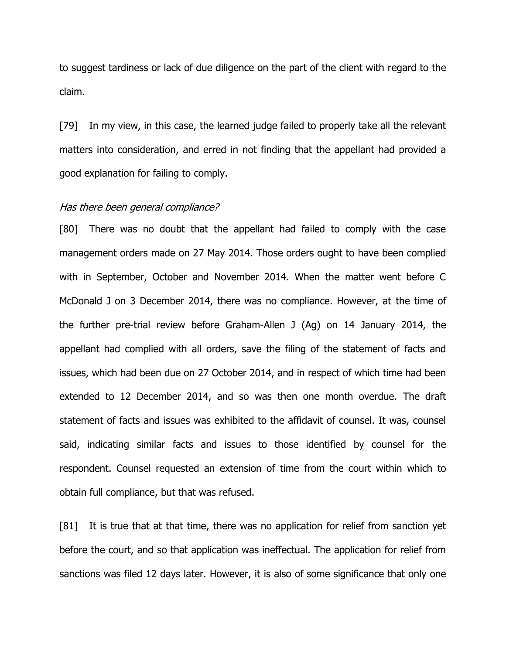to suggest tardiness or lack of due diligence on the part of the client with regard to the claim.

[79] In my view, in this case, the learned judge failed to properly take all the relevant matters into consideration, and erred in not finding that the appellant had provided a good explanation for failing to comply.

# Has there been general compliance?

[80] There was no doubt that the appellant had failed to comply with the case management orders made on 27 May 2014. Those orders ought to have been complied with in September, October and November 2014. When the matter went before C McDonald J on 3 December 2014, there was no compliance. However, at the time of the further pre-trial review before Graham-Allen J (Ag) on 14 January 2014, the appellant had complied with all orders, save the filing of the statement of facts and issues, which had been due on 27 October 2014, and in respect of which time had been extended to 12 December 2014, and so was then one month overdue. The draft statement of facts and issues was exhibited to the affidavit of counsel. It was, counsel said, indicating similar facts and issues to those identified by counsel for the respondent. Counsel requested an extension of time from the court within which to obtain full compliance, but that was refused.

[81] It is true that at that time, there was no application for relief from sanction yet before the court, and so that application was ineffectual. The application for relief from sanctions was filed 12 days later. However, it is also of some significance that only one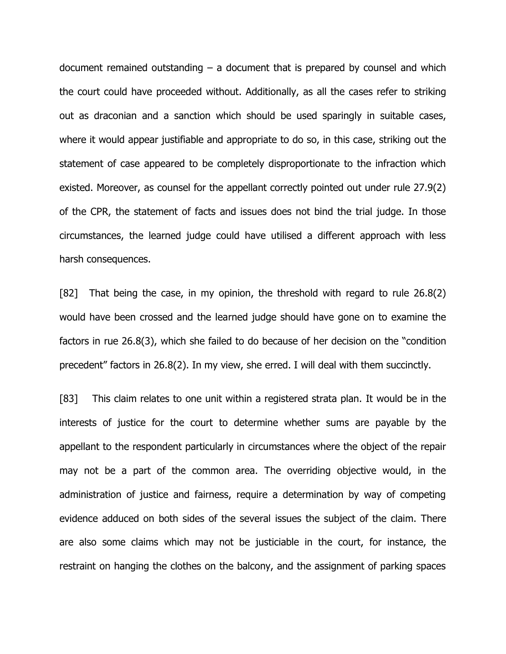document remained outstanding  $-$  a document that is prepared by counsel and which the court could have proceeded without. Additionally, as all the cases refer to striking out as draconian and a sanction which should be used sparingly in suitable cases, where it would appear justifiable and appropriate to do so, in this case, striking out the statement of case appeared to be completely disproportionate to the infraction which existed. Moreover, as counsel for the appellant correctly pointed out under rule 27.9(2) of the CPR, the statement of facts and issues does not bind the trial judge. In those circumstances, the learned judge could have utilised a different approach with less harsh consequences.

[82] That being the case, in my opinion, the threshold with regard to rule 26.8(2) would have been crossed and the learned judge should have gone on to examine the factors in rue 26.8(3), which she failed to do because of her decision on the "condition precedent" factors in 26.8(2). In my view, she erred. I will deal with them succinctly.

[83] This claim relates to one unit within a registered strata plan. It would be in the interests of justice for the court to determine whether sums are payable by the appellant to the respondent particularly in circumstances where the object of the repair may not be a part of the common area. The overriding objective would, in the administration of justice and fairness, require a determination by way of competing evidence adduced on both sides of the several issues the subject of the claim. There are also some claims which may not be justiciable in the court, for instance, the restraint on hanging the clothes on the balcony, and the assignment of parking spaces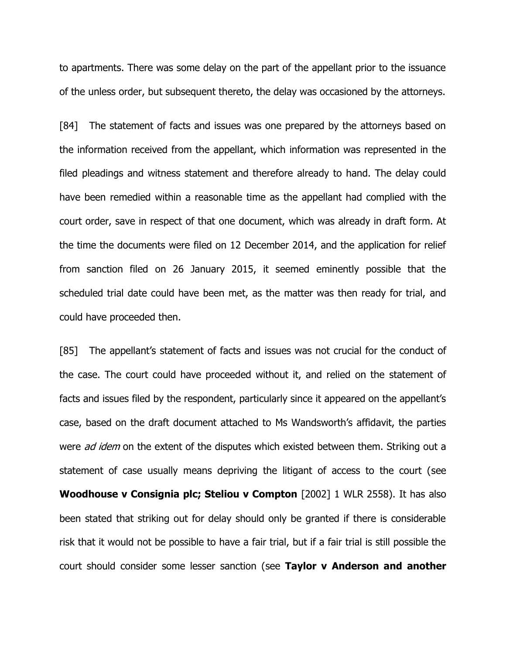to apartments. There was some delay on the part of the appellant prior to the issuance of the unless order, but subsequent thereto, the delay was occasioned by the attorneys.

[84] The statement of facts and issues was one prepared by the attorneys based on the information received from the appellant, which information was represented in the filed pleadings and witness statement and therefore already to hand. The delay could have been remedied within a reasonable time as the appellant had complied with the court order, save in respect of that one document, which was already in draft form. At the time the documents were filed on 12 December 2014, and the application for relief from sanction filed on 26 January 2015, it seemed eminently possible that the scheduled trial date could have been met, as the matter was then ready for trial, and could have proceeded then.

[85] The appellant's statement of facts and issues was not crucial for the conduct of the case. The court could have proceeded without it, and relied on the statement of facts and issues filed by the respondent, particularly since it appeared on the appellant's case, based on the draft document attached to Ms Wandsworth's affidavit, the parties were *ad idem* on the extent of the disputes which existed between them. Striking out a statement of case usually means depriving the litigant of access to the court (see **Woodhouse v Consignia plc; Steliou v Compton** [2002] 1 WLR 2558). It has also been stated that striking out for delay should only be granted if there is considerable risk that it would not be possible to have a fair trial, but if a fair trial is still possible the court should consider some lesser sanction (see **Taylor v Anderson and another**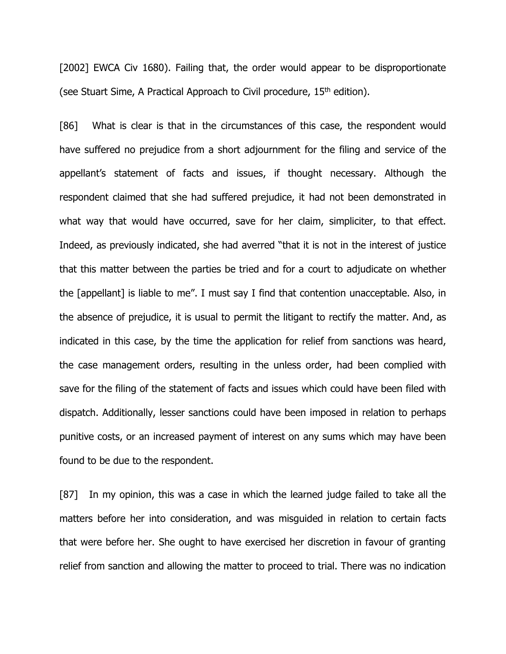[2002] EWCA Civ 1680). Failing that, the order would appear to be disproportionate (see Stuart Sime, A Practical Approach to Civil procedure, 15<sup>th</sup> edition).

[86] What is clear is that in the circumstances of this case, the respondent would have suffered no prejudice from a short adjournment for the filing and service of the appellant's statement of facts and issues, if thought necessary. Although the respondent claimed that she had suffered prejudice, it had not been demonstrated in what way that would have occurred, save for her claim, simpliciter, to that effect. Indeed, as previously indicated, she had averred "that it is not in the interest of justice that this matter between the parties be tried and for a court to adjudicate on whether the [appellant] is liable to me". I must say I find that contention unacceptable. Also, in the absence of prejudice, it is usual to permit the litigant to rectify the matter. And, as indicated in this case, by the time the application for relief from sanctions was heard, the case management orders, resulting in the unless order, had been complied with save for the filing of the statement of facts and issues which could have been filed with dispatch. Additionally, lesser sanctions could have been imposed in relation to perhaps punitive costs, or an increased payment of interest on any sums which may have been found to be due to the respondent.

[87] In my opinion, this was a case in which the learned judge failed to take all the matters before her into consideration, and was misguided in relation to certain facts that were before her. She ought to have exercised her discretion in favour of granting relief from sanction and allowing the matter to proceed to trial. There was no indication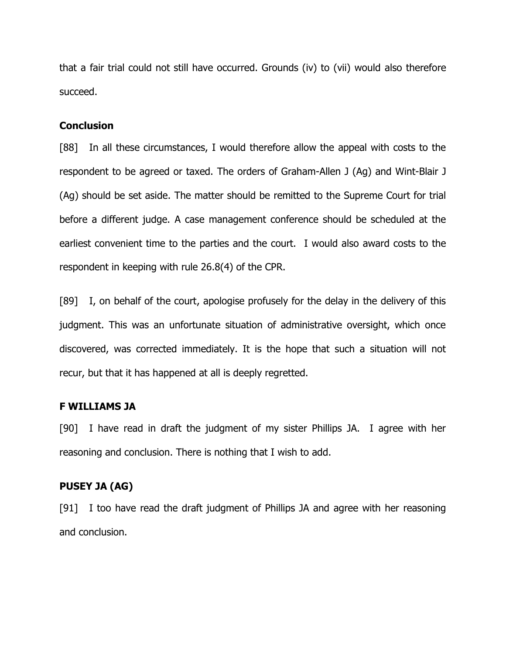that a fair trial could not still have occurred. Grounds (iv) to (vii) would also therefore succeed.

### **Conclusion**

[88] In all these circumstances, I would therefore allow the appeal with costs to the respondent to be agreed or taxed. The orders of Graham-Allen J (Ag) and Wint-Blair J (Ag) should be set aside. The matter should be remitted to the Supreme Court for trial before a different judge. A case management conference should be scheduled at the earliest convenient time to the parties and the court. I would also award costs to the respondent in keeping with rule 26.8(4) of the CPR.

[89] I, on behalf of the court, apologise profusely for the delay in the delivery of this judgment. This was an unfortunate situation of administrative oversight, which once discovered, was corrected immediately. It is the hope that such a situation will not recur, but that it has happened at all is deeply regretted.

### **F WILLIAMS JA**

[90] I have read in draft the judgment of my sister Phillips JA. I agree with her reasoning and conclusion. There is nothing that I wish to add.

# **PUSEY JA (AG)**

[91] I too have read the draft judgment of Phillips JA and agree with her reasoning and conclusion.